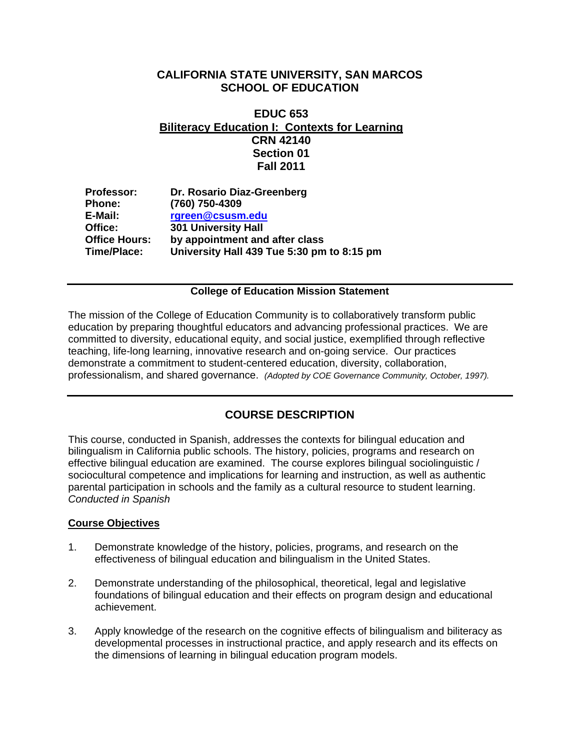# **CALIFORNIA STATE UNIVERSITY, SAN MARCOS SCHOOL OF EDUCATION**

# **EDUC 653 Biliteracy Education I: Contexts for Learning CRN 42140 Section 01 Fall 2011**

| <b>Professor:</b>    | Dr. Rosario Diaz-Greenberg                 |
|----------------------|--------------------------------------------|
| <b>Phone:</b>        | (760) 750-4309                             |
| E-Mail:              | rgreen@csusm.edu                           |
| Office:              | <b>301 University Hall</b>                 |
| <b>Office Hours:</b> | by appointment and after class             |
| Time/Place:          | University Hall 439 Tue 5:30 pm to 8:15 pm |
|                      |                                            |

# **College of Education Mission Statement**

 education by preparing thoughtful educators and advancing professional practices. We are The mission of the College of Education Community is to collaboratively transform public committed to diversity, educational equity, and social justice, exemplified through reflective teaching, life-long learning, innovative research and on-going service. Our practices demonstrate a commitment to student-centered education, diversity, collaboration, professionalism, and shared governance. *(Adopted by COE Governance Community, October, 1997).* 

# **COURSE DESCRIPTION**

This course, conducted in Spanish, addresses the contexts for bilingual education and bilingualism in California public schools. The history, policies, programs and research on effective bilingual education are examined. The course explores bilingual sociolinguistic / sociocultural competence and implications for learning and instruction, as well as authentic parental participation in schools and the family as a cultural resource to student learning. *Conducted in Spanish* 

# **Course Objectives**

- 1. Demonstrate knowledge of the history, policies, programs, and research on the effectiveness of bilingual education and bilingualism in the United States.
- 2. Demonstrate understanding of the philosophical, theoretical, legal and legislative foundations of bilingual education and their effects on program design and educational achievement.
- 3. Apply knowledge of the research on the cognitive effects of bilingualism and biliteracy as developmental processes in instructional practice, and apply research and its effects on the dimensions of learning in bilingual education program models.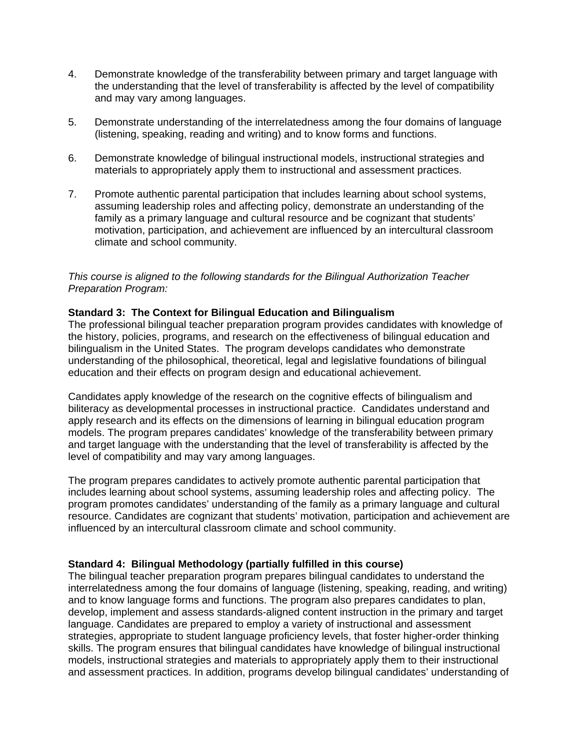- 4. Demonstrate knowledge of the transferability between primary and target language with the understanding that the level of transferability is affected by the level of compatibility and may vary among languages.
- 5. Demonstrate understanding of the interrelatedness among the four domains of language (listening, speaking, reading and writing) and to know forms and functions.
- 6. Demonstrate knowledge of bilingual instructional models, instructional strategies and materials to appropriately apply them to instructional and assessment practices.
- 7. Promote authentic parental participation that includes learning about school systems, assuming leadership roles and affecting policy, demonstrate an understanding of the family as a primary language and cultural resource and be cognizant that students' motivation, participation, and achievement are influenced by an intercultural classroom climate and school community.

# *This course is aligned to the following standards for the Bilingual Authorization Teacher Preparation Program:*

# **Standard 3: The Context for Bilingual Education and Bilingualism**

The professional bilingual teacher preparation program provides candidates with knowledge of the history, policies, programs, and research on the effectiveness of bilingual education and bilingualism in the United States. The program develops candidates who demonstrate understanding of the philosophical, theoretical, legal and legislative foundations of bilingual education and their effects on program design and educational achievement.

Candidates apply knowledge of the research on the cognitive effects of bilingualism and biliteracy as developmental processes in instructional practice. Candidates understand and apply research and its effects on the dimensions of learning in bilingual education program models. The program prepares candidates' knowledge of the transferability between primary and target language with the understanding that the level of transferability is affected by the level of compatibility and may vary among languages.

The program prepares candidates to actively promote authentic parental participation that includes learning about school systems, assuming leadership roles and affecting policy. The program promotes candidates' understanding of the family as a primary language and cultural resource. Candidates are cognizant that students' motivation, participation and achievement are influenced by an intercultural classroom climate and school community.

### **Standard 4: Bilingual Methodology (partially fulfilled in this course)**

The bilingual teacher preparation program prepares bilingual candidates to understand the interrelatedness among the four domains of language (listening, speaking, reading, and writing) and to know language forms and functions. The program also prepares candidates to plan, develop, implement and assess standards-aligned content instruction in the primary and target language. Candidates are prepared to employ a variety of instructional and assessment strategies, appropriate to student language proficiency levels, that foster higher-order thinking skills. The program ensures that bilingual candidates have knowledge of bilingual instructional models, instructional strategies and materials to appropriately apply them to their instructional and assessment practices. In addition, programs develop bilingual candidates' understanding of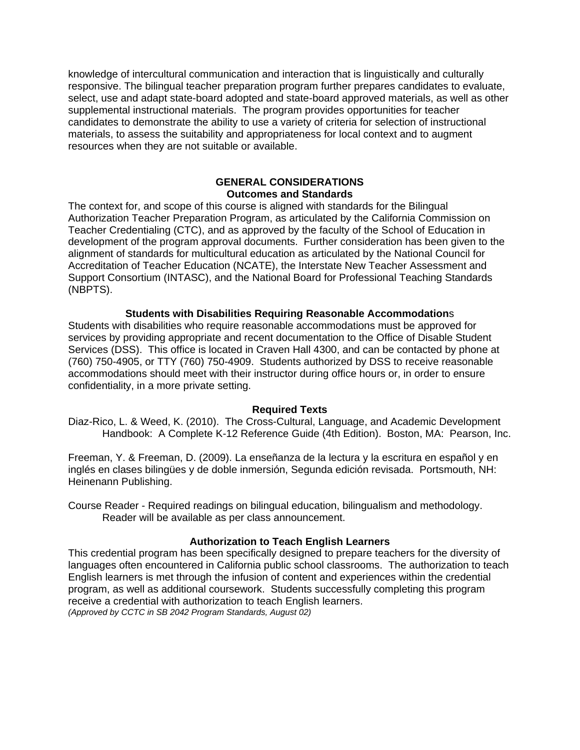knowledge of intercultural communication and interaction that is linguistically and culturally responsive. The bilingual teacher preparation program further prepares candidates to evaluate, select, use and adapt state-board adopted and state-board approved materials, as well as other supplemental instructional materials. The program provides opportunities for teacher candidates to demonstrate the ability to use a variety of criteria for selection of instructional materials, to assess the suitability and appropriateness for local context and to augment resources when they are not suitable or available.

# **GENERAL CONSIDERATIONS Outcomes and Standards**

The context for, and scope of this course is aligned with standards for the Bilingual Authorization Teacher Preparation Program, as articulated by the California Commission on Teacher Credentialing (CTC), and as approved by the faculty of the School of Education in development of the program approval documents. Further consideration has been given to the alignment of standards for multicultural education as articulated by the National Council for Accreditation of Teacher Education (NCATE), the Interstate New Teacher Assessment and Support Consortium (INTASC), and the National Board for Professional Teaching Standards (NBPTS).

## **Students with Disabilities Requiring Reasonable Accommodation**s

Students with disabilities who require reasonable accommodations must be approved for services by providing appropriate and recent documentation to the Office of Disable Student Services (DSS). This office is located in Craven Hall 4300, and can be contacted by phone at (760) 750-4905, or TTY (760) 750-4909. Students authorized by DSS to receive reasonable accommodations should meet with their instructor during office hours or, in order to ensure confidentiality, in a more private setting.

### **Required Texts**

Diaz-Rico, L. & Weed, K. (2010). The Cross-Cultural, Language, and Academic Development Handbook: A Complete K-12 Reference Guide (4th Edition). Boston, MA: Pearson, Inc.

Freeman, Y. & Freeman, D. (2009). La enseñanza de la lectura y la escritura en español y en inglés en clases bilingües y de doble inmersión, Segunda edición revisada. Portsmouth, NH: Heinenann Publishing.

Course Reader - Required readings on bilingual education, bilingualism and methodology. Reader will be available as per class announcement.

# **Authorization to Teach English Learners**

This credential program has been specifically designed to prepare teachers for the diversity of languages often encountered in California public school classrooms. The authorization to teach English learners is met through the infusion of content and experiences within the credential program, as well as additional coursework. Students successfully completing this program receive a credential with authorization to teach English learners. *(Approved by CCTC in SB 2042 Program Standards, August 02)*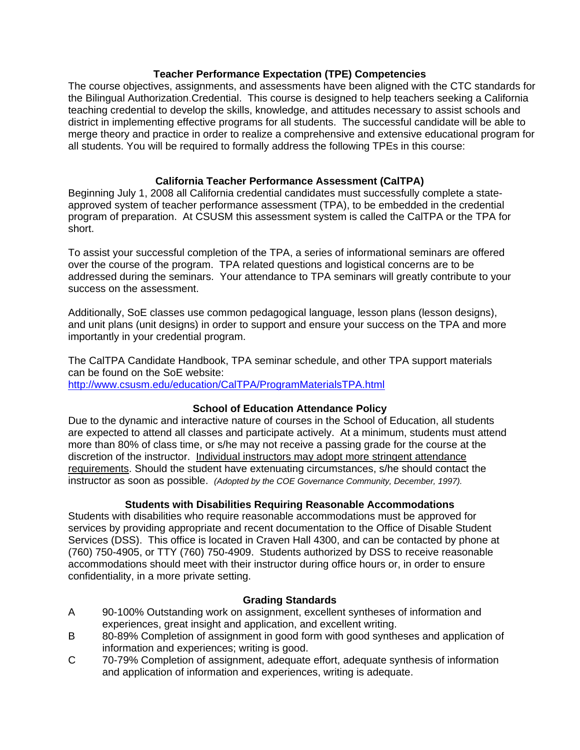# **Teacher Performance Expectation (TPE) Competencies**

The course objectives, assignments, and assessments have been aligned with the CTC standards for the Bilingual Authorization.Credential. This course is designed to help teachers seeking a California teaching credential to develop the skills, knowledge, and attitudes necessary to assist schools and district in implementing effective programs for all students. The successful candidate will be able to merge theory and practice in order to realize a comprehensive and extensive educational program for all students. You will be required to formally address the following TPEs in this course:

# **California Teacher Performance Assessment (CalTPA)**

Beginning July 1, 2008 all California credential candidates must successfully complete a stateapproved system of teacher performance assessment (TPA), to be embedded in the credential program of preparation. At CSUSM this assessment system is called the CalTPA or the TPA for short.

To assist your successful completion of the TPA, a series of informational seminars are offered over the course of the program. TPA related questions and logistical concerns are to be addressed during the seminars. Your attendance to TPA seminars will greatly contribute to your success on the assessment.

Additionally, SoE classes use common pedagogical language, lesson plans (lesson designs), and unit plans (unit designs) in order to support and ensure your success on the TPA and more importantly in your credential program.

The CalTPA Candidate Handbook, TPA seminar schedule, and other TPA support materials can be found on the SoE website: http://www.csusm.edu/education/CalTPA/ProgramMaterialsTPA.html

# **School of Education Attendance Policy**

 instructor as soon as possible. *(Adopted by the COE Governance Community, December, 1997).* Due to the dynamic and interactive nature of courses in the School of Education, all students are expected to attend all classes and participate actively. At a minimum, students must attend more than 80% of class time, or s/he may not receive a passing grade for the course at the discretion of the instructor. Individual instructors may adopt more stringent attendance requirements. Should the student have extenuating circumstances, s/he should contact the

# **Students with Disabilities Requiring Reasonable Accommodations**

Students with disabilities who require reasonable accommodations must be approved for services by providing appropriate and recent documentation to the Office of Disable Student Services (DSS). This office is located in Craven Hall 4300, and can be contacted by phone at (760) 750-4905, or TTY (760) 750-4909. Students authorized by DSS to receive reasonable accommodations should meet with their instructor during office hours or, in order to ensure confidentiality, in a more private setting.

# **Grading Standards**

- A 90-100% Outstanding work on assignment, excellent syntheses of information and experiences, great insight and application, and excellent writing.
- B 80-89% Completion of assignment in good form with good syntheses and application of information and experiences; writing is good.
- 70-79% Completion of assignment, adequate effort, adequate synthesis of information and application of information and experiences, writing is adequate. C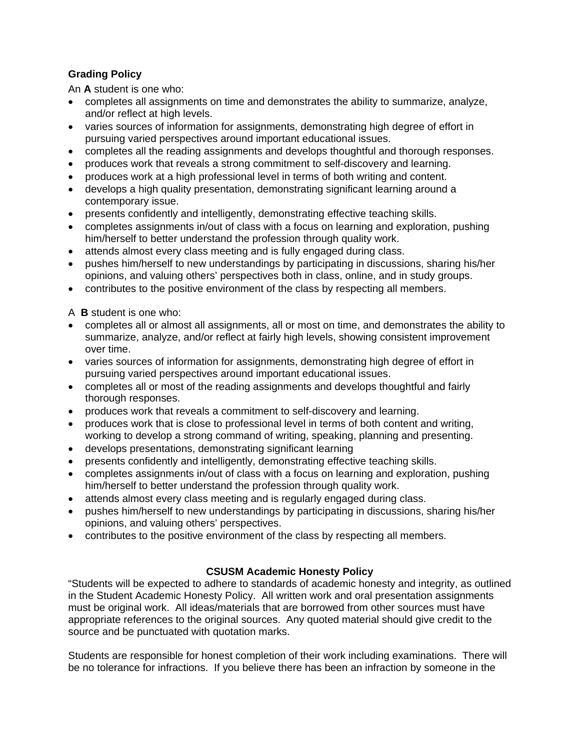# **Grading Policy**

An **A** student is one who:

- completes all assignments on time and demonstrates the ability to summarize, analyze, and/or reflect at high levels.
- varies sources of information for assignments, demonstrating high degree of effort in pursuing varied perspectives around important educational issues.
- completes all the reading assignments and develops thoughtful and thorough responses.
- produces work that reveals a strong commitment to self-discovery and learning.
- produces work at a high professional level in terms of both writing and content.
- develops a high quality presentation, demonstrating significant learning around a contemporary issue.
- presents confidently and intelligently, demonstrating effective teaching skills.
- completes assignments in/out of class with a focus on learning and exploration, pushing him/herself to better understand the profession through quality work.
- attends almost every class meeting and is fully engaged during class.
- pushes him/herself to new understandings by participating in discussions, sharing his/her opinions, and valuing others' perspectives both in class, online, and in study groups.
- contributes to the positive environment of the class by respecting all members.
- A **B** student is one who:
- completes all or almost all assignments, all or most on time, and demonstrates the ability to summarize, analyze, and/or reflect at fairly high levels, showing consistent improvement over time.
- varies sources of information for assignments, demonstrating high degree of effort in pursuing varied perspectives around important educational issues.
- thorough responses. completes all or most of the reading assignments and develops thoughtful and fairly
- produces work that reveals a commitment to self-discovery and learning.
- produces work that is close to professional level in terms of both content and writing, working to develop a strong command of writing, speaking, planning and presenting.
- develops presentations, demonstrating significant learning
- presents confidently and intelligently, demonstrating effective teaching skills.
- completes assignments in/out of class with a focus on learning and exploration, pushing him/herself to better understand the profession through quality work.
- attends almost every class meeting and is regularly engaged during class.
- pushes him/herself to new understandings by participating in discussions, sharing his/her opinions, and valuing others' perspectives.
- contributes to the positive environment of the class by respecting all members.

# **CSUSM Academic Honesty Policy**

"Students will be expected to adhere to standards of academic honesty and integrity, as outlined in the Student Academic Honesty Policy. All written work and oral presentation assignments must be original work. All ideas/materials that are borrowed from other sources must have appropriate references to the original sources. Any quoted material should give credit to the source and be punctuated with quotation marks.

Students are responsible for honest completion of their work including examinations. There will be no tolerance for infractions. If you believe there has been an infraction by someone in the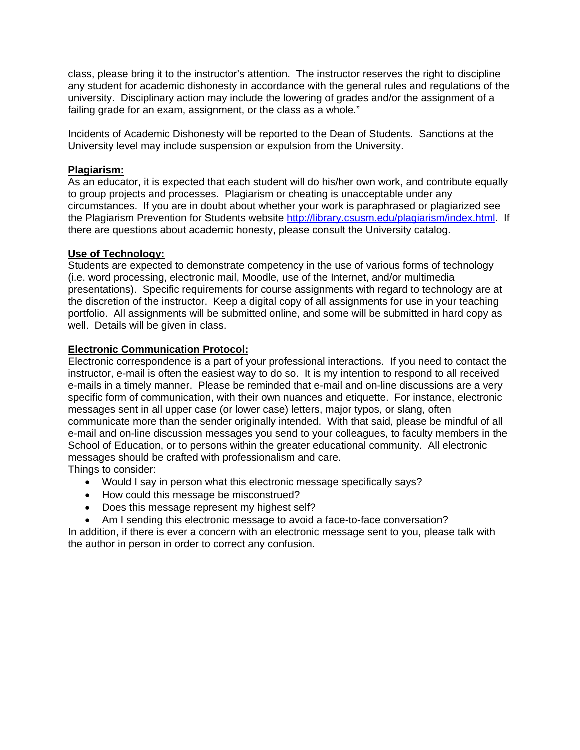class, please bring it to the instructor's attention. The instructor reserves the right to discipline any student for academic dishonesty in accordance with the general rules and regulations of the university. Disciplinary action may include the lowering of grades and/or the assignment of a failing grade for an exam, assignment, or the class as a whole."

Incidents of Academic Dishonesty will be reported to the Dean of Students. Sanctions at the University level may include suspension or expulsion from the University.

# **Plagiarism:**

As an educator, it is expected that each student will do his/her own work, and contribute equally to group projects and processes. Plagiarism or cheating is unacceptable under any circumstances. If you are in doubt about whether your work is paraphrased or plagiarized see the Plagiarism Prevention for Students website http://library.csusm.edu/plagiarism/index.html. If there are questions about academic honesty, please consult the University catalog.

# **Use of Technology:**

Students are expected to demonstrate competency in the use of various forms of technology (i.e. word processing, electronic mail, Moodle, use of the Internet, and/or multimedia presentations). Specific requirements for course assignments with regard to technology are at the discretion of the instructor. Keep a digital copy of all assignments for use in your teaching portfolio. All assignments will be submitted online, and some will be submitted in hard copy as well. Details will be given in class.

## **Electronic Communication Protocol:**

Electronic correspondence is a part of your professional interactions. If you need to contact the instructor, e-mail is often the easiest way to do so. It is my intention to respond to all received e-mails in a timely manner. Please be reminded that e-mail and on-line discussions are a very specific form of communication, with their own nuances and etiquette. For instance, electronic messages sent in all upper case (or lower case) letters, major typos, or slang, often communicate more than the sender originally intended. With that said, please be mindful of all e-mail and on-line discussion messages you send to your colleagues, to faculty members in the School of Education, or to persons within the greater educational community. All electronic messages should be crafted with professionalism and care. Things to consider:

- Would I say in person what this electronic message specifically says?
- How could this message be misconstrued?
- Does this message represent my highest self?
- Am I sending this electronic message to avoid a face-to-face conversation?

In addition, if there is ever a concern with an electronic message sent to you, please talk with the author in person in order to correct any confusion.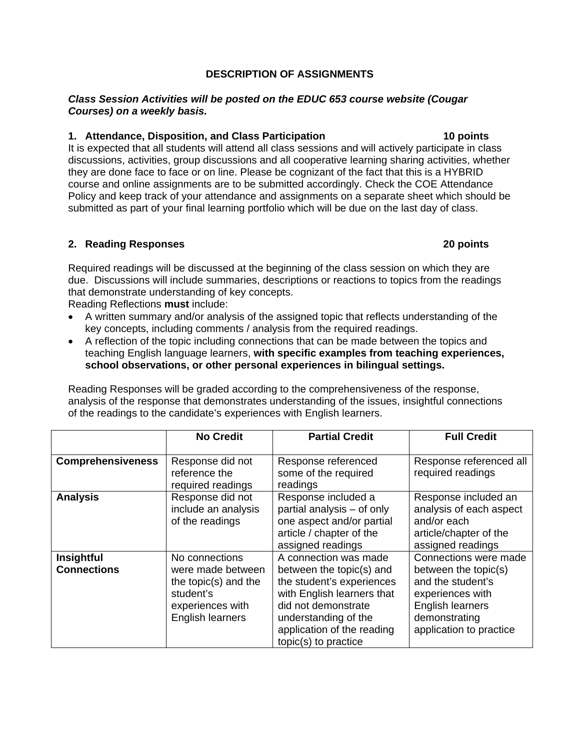# **DESCRIPTION OF ASSIGNMENTS**

## *Class Session Activities will be posted on the EDUC 653 course website (Cougar Courses) on a weekly basis.*

# **1. Attendance, Disposition, and Class Participation 10 points**

It is expected that all students will attend all class sessions and will actively participate in class discussions, activities, group discussions and all cooperative learning sharing activities, whether they are done face to face or on line. Please be cognizant of the fact that this is a HYBRID course and online assignments are to be submitted accordingly. Check the COE Attendance Policy and keep track of your attendance and assignments on a separate sheet which should be submitted as part of your final learning portfolio which will be due on the last day of class.

## **2. Reading Responses 20 points**

Required readings will be discussed at the beginning of the class session on which they are due. Discussions will include summaries, descriptions or reactions to topics from the readings that demonstrate understanding of key concepts.

Reading Reflections **must** include:

- key concepts, including comments / analysis from the required readings. A written summary and/or analysis of the assigned topic that reflects understanding of the
- A reflection of the topic including connections that can be made between the topics and teaching English language learners, **with specific examples from teaching experiences, school observations, or other personal experiences in bilingual settings.**

Reading Responses will be graded according to the comprehensiveness of the response, analysis of the response that demonstrates understanding of the issues, insightful connections of the readings to the candidate's experiences with English learners.

|                                  | <b>No Credit</b>                                                                                                 | <b>Partial Credit</b>                                                                                                                                                                                             | <b>Full Credit</b>                                                                                                                                            |
|----------------------------------|------------------------------------------------------------------------------------------------------------------|-------------------------------------------------------------------------------------------------------------------------------------------------------------------------------------------------------------------|---------------------------------------------------------------------------------------------------------------------------------------------------------------|
| <b>Comprehensiveness</b>         | Response did not<br>reference the<br>required readings                                                           | Response referenced<br>some of the required<br>readings                                                                                                                                                           | Response referenced all<br>required readings                                                                                                                  |
| <b>Analysis</b>                  | Response did not<br>include an analysis<br>of the readings                                                       | Response included a<br>partial analysis - of only<br>one aspect and/or partial<br>article / chapter of the<br>assigned readings                                                                                   | Response included an<br>analysis of each aspect<br>and/or each<br>article/chapter of the<br>assigned readings                                                 |
| Insightful<br><b>Connections</b> | No connections<br>were made between<br>the topic(s) and the<br>student's<br>experiences with<br>English learners | A connection was made<br>between the topic(s) and<br>the student's experiences<br>with English learners that<br>did not demonstrate<br>understanding of the<br>application of the reading<br>topic(s) to practice | Connections were made<br>between the topic(s)<br>and the student's<br>experiences with<br><b>English learners</b><br>demonstrating<br>application to practice |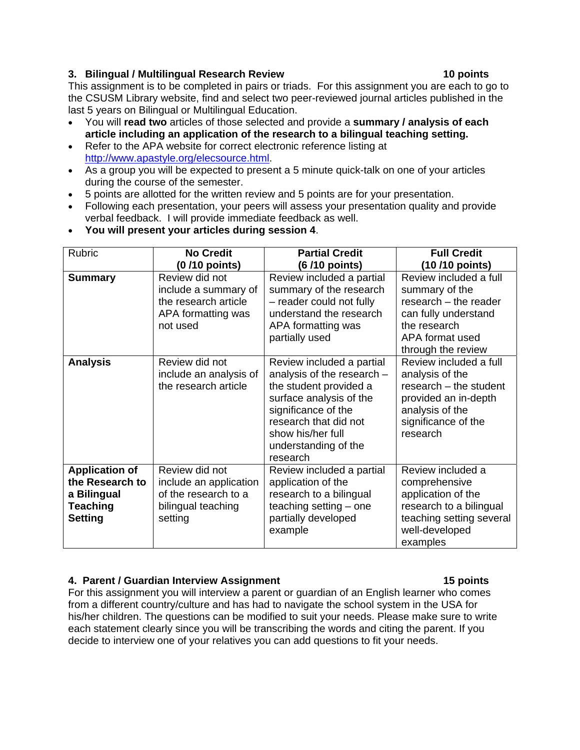# **3. Bilingual / Multilingual Research Review 10 points**

 last 5 years on Bilingual or Multilingual Education. This assignment is to be completed in pairs or triads. For this assignment you are each to go to the CSUSM Library website, find and select two peer-reviewed journal articles published in the

- You will **read two** articles of those selected and provide a **summary / analysis of each article including an application of the research to a bilingual teaching setting.**
- Refer to the APA website for correct electronic reference listing at http://www.apastyle.org/elecsource.html.
- As a group you will be expected to present a 5 minute quick-talk on one of your articles during the course of the semester.
- 5 points are allotted for the written review and 5 points are for your presentation.
- verbal feedback. I will provide immediate feedback as well. Following each presentation, your peers will assess your presentation quality and provide
- Rubric **No Credit (0 /10 points) Partial Credit (6 /10 points) Full Credit (10 /10 points) Summary** | Review did not include a summary of the research article APA formatting was not used Review included a partial summary of the research – reader could not fully understand the research APA formatting was partially used Review included a full summary of the research – the reader can fully understand the research APA format used through the review Analysis **Review did not** include an analysis of the research article Review included a partial analysis of the research – the student provided a surface analysis of the significance of the research that did not show his/her full understanding of the research Review included a full analysis of the research – the student provided an in-depth analysis of the significance of the research **Application of the Research to a Bilingual Teaching Setting**  Review did not include an application of the research to a bilingual teaching setting Review included a partial application of the research to a bilingual teaching setting – one partially developed example Review included a comprehensive application of the research to a bilingual teaching setting several well-developed examples
- **You will present your articles during session 4**.

# **4. Parent / Guardian Interview Assignment 15 points**

For this assignment you will interview a parent or guardian of an English learner who comes from a different country/culture and has had to navigate the school system in the USA for his/her children. The questions can be modified to suit your needs. Please make sure to write each statement clearly since you will be transcribing the words and citing the parent. If you decide to interview one of your relatives you can add questions to fit your needs.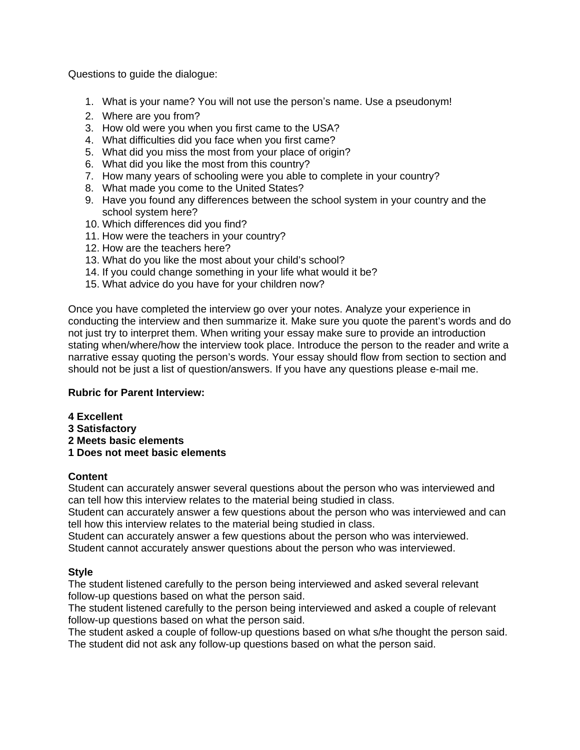Questions to guide the dialogue:

- 1. What is your name? You will not use the person's name. Use a pseudonym!
- 2. Where are you from?
- 3. How old were you when you first came to the USA?
- 4. What difficulties did you face when you first came?
- 5. What did you miss the most from your place of origin?
- 6. What did you like the most from this country?
- 7. How many years of schooling were you able to complete in your country?
- 8. What made you come to the United States?
- 9. Have you found any differences between the school system in your country and the school system here?
- 10. Which differences did you find?
- 11. How were the teachers in your country?
- 12. How are the teachers here?
- 13. What do you like the most about your child's school?
- 14. If you could change something in your life what would it be?<br>15. What advice do you have for your children now?
- 

Once you have completed the interview go over your notes. Analyze your experience in conducting the interview and then summarize it. Make sure you quote the parent's words and do not just try to interpret them. When writing your essay make sure to provide an introduction stating when/where/how the interview took place. Introduce the person to the reader and write a narrative essay quoting the person's words. Your essay should flow from section to section and should not be just a list of question/answers. If you have any questions please e-mail me.

### **Rubric for Parent Interview:**

- **4 Excellent**
- **3 Satisfactory**
- **2 Meets basic elements**
- **1 Does not meet basic elements**

### **Content**

Student can accurately answer several questions about the person who was interviewed and can tell how this interview relates to the material being studied in class.

Student can accurately answer a few questions about the person who was interviewed and can tell how this interview relates to the material being studied in class.

Student can accurately answer a few questions about the person who was interviewed.

Student cannot accurately answer questions about the person who was interviewed.

### **Style**

The student listened carefully to the person being interviewed and asked several relevant follow-up questions based on what the person said.

The student listened carefully to the person being interviewed and asked a couple of relevant follow-up questions based on what the person said.

The student asked a couple of follow-up questions based on what s/he thought the person said. The student did not ask any follow-up questions based on what the person said.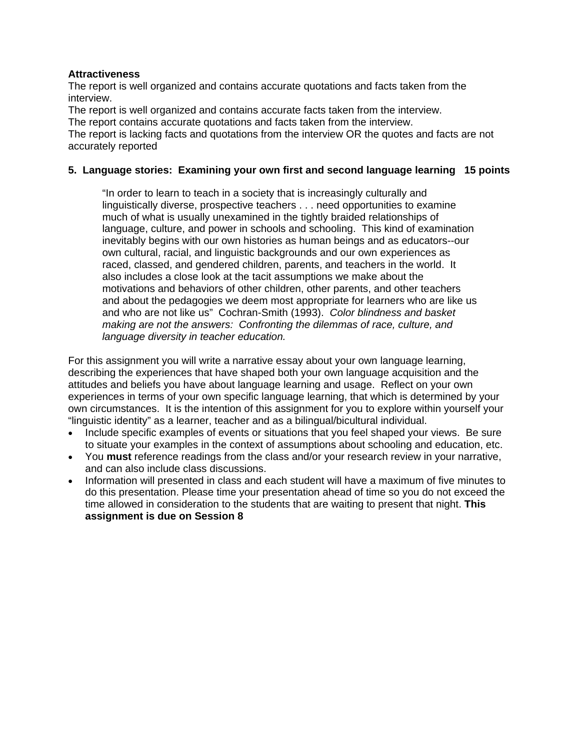# **Attractiveness**

The report is well organized and contains accurate quotations and facts taken from the interview.

The report is well organized and contains accurate facts taken from the interview.

The report contains accurate quotations and facts taken from the interview.

The report is lacking facts and quotations from the interview OR the quotes and facts are not accurately reported

# **5. Language stories: Examining your own first and second language learning 15 points**

"In order to learn to teach in a society that is increasingly culturally and linguistically diverse, prospective teachers . . . need opportunities to examine much of what is usually unexamined in the tightly braided relationships of language, culture, and power in schools and schooling. This kind of examination inevitably begins with our own histories as human beings and as educators--our own cultural, racial, and linguistic backgrounds and our own experiences as raced, classed, and gendered children, parents, and teachers in the world. It also includes a close look at the tacit assumptions we make about the motivations and behaviors of other children, other parents, and other teachers and about the pedagogies we deem most appropriate for learners who are like us and who are not like us" Cochran-Smith (1993). *Color blindness and basket making are not the answers: Confronting the dilemmas of race, culture, and language diversity in teacher education.* 

For this assignment you will write a narrative essay about your own language learning, describing the experiences that have shaped both your own language acquisition and the attitudes and beliefs you have about language learning and usage. Reflect on your own experiences in terms of your own specific language learning, that which is determined by your own circumstances. It is the intention of this assignment for you to explore within yourself your "linguistic identity" as a learner, teacher and as a bilingual/bicultural individual.

- Include specific examples of events or situations that you feel shaped your views. Be sure to situate your examples in the context of assumptions about schooling and education, etc.
- You **must** reference readings from the class and/or your research review in your narrative, and can also include class discussions.
- Information will presented in class and each student will have a maximum of five minutes to do this presentation. Please time your presentation ahead of time so you do not exceed the time allowed in consideration to the students that are waiting to present that night. **This assignment is due on Session 8**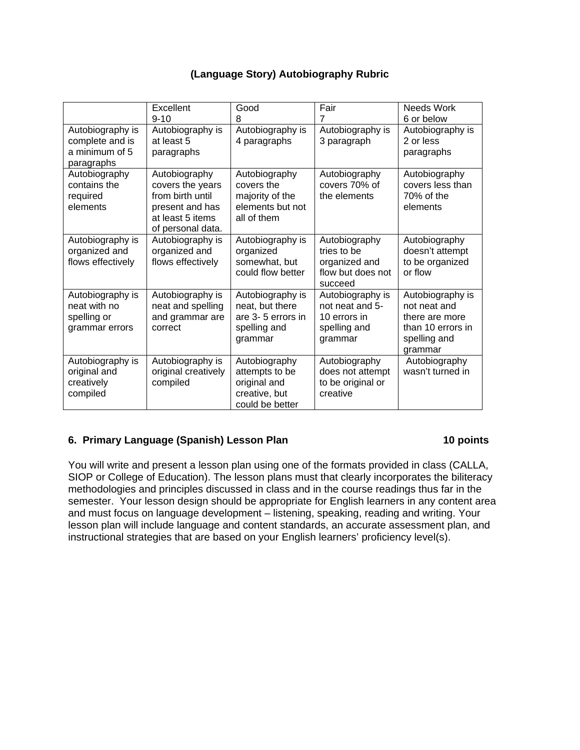# **(Language Story) Autobiography Rubric**

|                                                                     | Excellent<br>$9 - 10$                                                                                             | Good<br>8                                                                           | Fair<br>$\overline{7}$                                                         | Needs Work<br>6 or below                                                                           |
|---------------------------------------------------------------------|-------------------------------------------------------------------------------------------------------------------|-------------------------------------------------------------------------------------|--------------------------------------------------------------------------------|----------------------------------------------------------------------------------------------------|
| Autobiography is<br>complete and is<br>a minimum of 5<br>paragraphs | Autobiography is<br>at least 5<br>paragraphs                                                                      | Autobiography is<br>4 paragraphs                                                    | Autobiography is<br>3 paragraph                                                | Autobiography is<br>2 or less<br>paragraphs                                                        |
| Autobiography<br>contains the<br>required<br>elements               | Autobiography<br>covers the years<br>from birth until<br>present and has<br>at least 5 items<br>of personal data. | Autobiography<br>covers the<br>majority of the<br>elements but not<br>all of them   | Autobiography<br>covers 70% of<br>the elements                                 | Autobiography<br>covers less than<br>70% of the<br>elements                                        |
| Autobiography is<br>organized and<br>flows effectively              | Autobiography is<br>organized and<br>flows effectively                                                            | Autobiography is<br>organized<br>somewhat, but<br>could flow better                 | Autobiography<br>tries to be<br>organized and<br>flow but does not<br>succeed  | Autobiography<br>doesn't attempt<br>to be organized<br>or flow                                     |
| Autobiography is<br>neat with no<br>spelling or<br>grammar errors   | Autobiography is<br>neat and spelling<br>and grammar are<br>correct                                               | Autobiography is<br>neat, but there<br>are 3-5 errors in<br>spelling and<br>grammar | Autobiography is<br>not neat and 5-<br>10 errors in<br>spelling and<br>grammar | Autobiography is<br>not neat and<br>there are more<br>than 10 errors in<br>spelling and<br>grammar |
| Autobiography is<br>original and<br>creatively<br>compiled          | Autobiography is<br>original creatively<br>compiled                                                               | Autobiography<br>attempts to be<br>original and<br>creative, but<br>could be better | Autobiography<br>does not attempt<br>to be original or<br>creative             | Autobiography<br>wasn't turned in                                                                  |

# **6. Primary Language (Spanish) Lesson Plan 10 points 10 points**

You will write and present a lesson plan using one of the formats provided in class (CALLA, SIOP or College of Education). The lesson plans must that clearly incorporates the biliteracy methodologies and principles discussed in class and in the course readings thus far in the semester. Your lesson design should be appropriate for English learners in any content area and must focus on language development - listening, speaking, reading and writing. Your lesson plan will include language and content standards, an accurate assessment plan, and instructional strategies that are based on your English learners' proficiency level(s).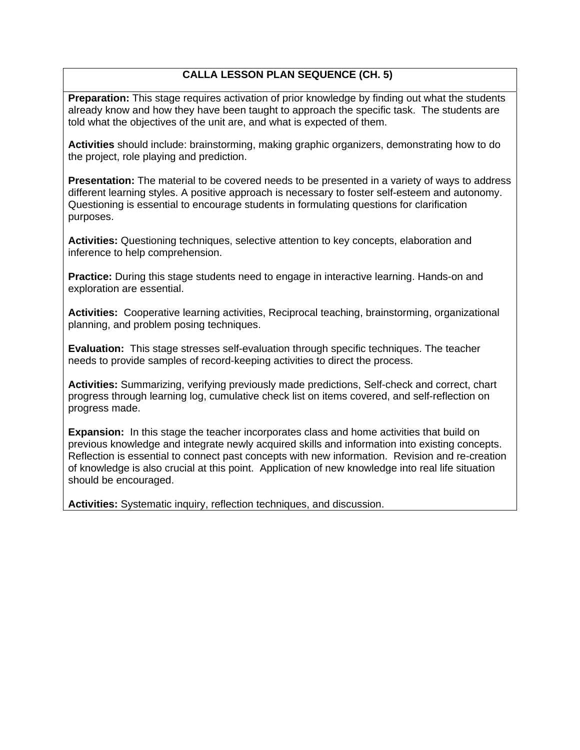# **CALLA LESSON PLAN SEQUENCE (CH. 5)**

**Preparation:** This stage requires activation of prior knowledge by finding out what the students already know and how they have been taught to approach the specific task. The students are told what the objectives of the unit are, and what is expected of them.

**Activities** should include: brainstorming, making graphic organizers, demonstrating how to do the project, role playing and prediction.

**Presentation:** The material to be covered needs to be presented in a variety of ways to address different learning styles. A positive approach is necessary to foster self-esteem and autonomy. Questioning is essential to encourage students in formulating questions for clarification purposes.

**Activities:** Questioning techniques, selective attention to key concepts, elaboration and inference to help comprehension.

**Practice:** During this stage students need to engage in interactive learning. Hands-on and exploration are essential.

**Activities:** Cooperative learning activities, Reciprocal teaching, brainstorming, organizational planning, and problem posing techniques.

**Evaluation:** This stage stresses self-evaluation through specific techniques. The teacher needs to provide samples of record-keeping activities to direct the process.

**Activities:** Summarizing, verifying previously made predictions, Self-check and correct, chart progress through learning log, cumulative check list on items covered, and self-reflection on progress made.

**Expansion:** In this stage the teacher incorporates class and home activities that build on previous knowledge and integrate newly acquired skills and information into existing concepts. Reflection is essential to connect past concepts with new information. Revision and re-creation of knowledge is also crucial at this point. Application of new knowledge into real life situation should be encouraged.

**Activities:** Systematic inquiry, reflection techniques, and discussion.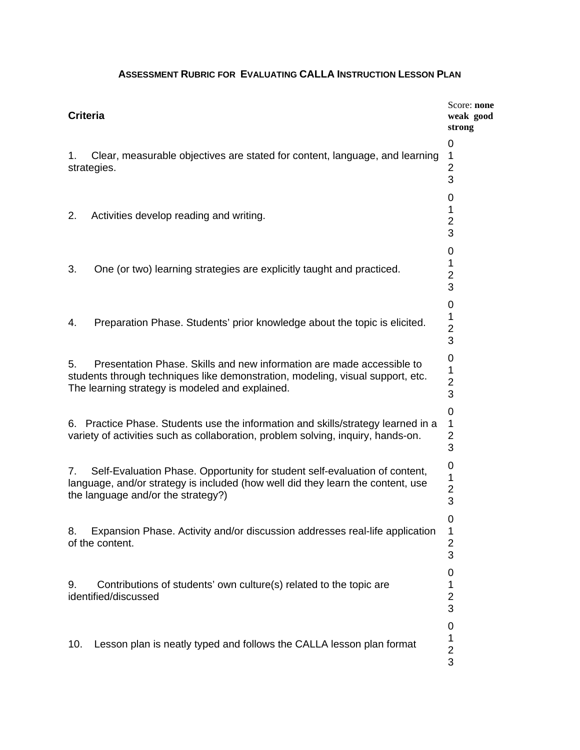# 2. Activities develop reading and writing.  $\frac{1}{2}$ 10. Lesson plan is neatly typed and follows the CALLA lesson plan format  $\frac{1}{2}$  Score: **none** weak good **Criteria weak good strong**  0 1. Clear, measurable objectives are stated for content, language, and learning 1 strategies. 2 3 0 3 0 3. One (or two) learning strategies are explicitly taught and practiced.  $\frac{1}{2}$ 3  $\Omega$ 4. Preparation Phase. Students' prior knowledge about the topic is elicited. 2 3 0 5. Presentation Phase. Skills and new information are made accessible to 1<br>students through techniques like demonstration, modeling, visual support, etc. 2<br>The learning strategy is modeled and explained. 3 0 6. Practice Phase. Students use the information and skills/strategy learned in a 1 variety of activities such as collaboration, problem solving, inquiry, hands-on. 2 3 7. Self-Evaluation Phase. Opportunity for student self-evaluation of content,  $\frac{0}{1}$ <br>language, and/or strategy is included (how well did they learn the content, use  $\frac{2}{2}$ <br>the language and/or the strategy?)  $\Omega$ 8. Expansion Phase. Activity and/or discussion addresses real-life application 1 of the content. 2 3 0 9. Contributions of students' own culture(s) related to the topic are 1 identified/discussed 2 3 0 3

## **ASSESSMENT RUBRIC FOR EVALUATING CALLA INSTRUCTION LESSON PLAN**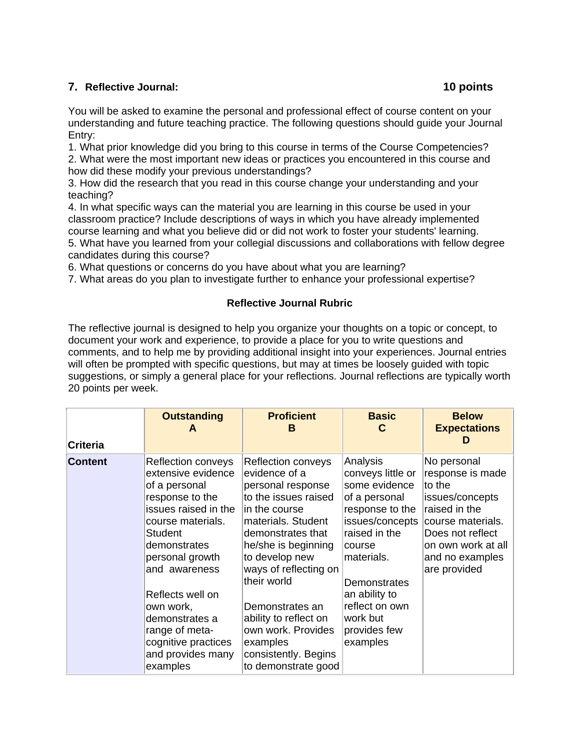# **7. Reflective Journal:**

You will be asked to examine the personal and professional effect of course content on your understanding and future teaching practice. The following questions should guide your Journal Entry:

1. What prior knowledge did you bring to this course in terms of the Course Competencies? 2. What were the most important new ideas or practices you encountered in this course and how did these modify your previous understandings?

3. How did the research that you read in this course change your understanding and your teaching?

4. In what specific ways can the material you are learning in this course be used in your classroom practice? Include descriptions of ways in which you have already implemented course learning and what you believe did or did not work to foster your students' learning.

5. What have you learned from your collegial discussions and collaborations with fellow degree candidates during this course?

6. What questions or concerns do you have about what you are learning?

7. What areas do you plan to investigate further to enhance your professional expertise?

# **Reflective Journal Rubric**

The reflective journal is designed to help you organize your thoughts on a topic or concept, to document your work and experience, to provide a place for you to write questions and comments, and to help me by providing additional insight into your experiences. Journal entries will often be prompted with specific questions, but may at times be loosely guided with topic suggestions, or simply a general place for your reflections. Journal reflections are typically worth 20 points per week.

| <b>Criteria</b>                                                                                                                                                                                                                | <b>Outstanding</b><br>A                                                                               | <b>Proficient</b><br>в                                                                                                                                                                                                                           | <b>Basic</b><br>C                                                                                                                                                                                 | <b>Below</b><br><b>Expectations</b><br>D                                                                                                                                        |
|--------------------------------------------------------------------------------------------------------------------------------------------------------------------------------------------------------------------------------|-------------------------------------------------------------------------------------------------------|--------------------------------------------------------------------------------------------------------------------------------------------------------------------------------------------------------------------------------------------------|---------------------------------------------------------------------------------------------------------------------------------------------------------------------------------------------------|---------------------------------------------------------------------------------------------------------------------------------------------------------------------------------|
| <b>Content</b><br>Reflection conveys<br>extensive evidence<br>of a personal<br>response to the<br>issues raised in the<br>course materials.<br>Student<br>demonstrates<br>personal growth<br>and awareness<br>Reflects well on |                                                                                                       | Reflection conveys<br>evidence of a<br>personal response<br>to the issues raised<br>in the course<br>materials. Student<br>demonstrates that<br>he/she is beginning<br>to develop new<br>ways of reflecting on<br>their world<br>Demonstrates an | Analysis<br>conveys little or<br>some evidence<br>of a personal<br>response to the<br>issues/concepts<br>raised in the<br>course<br>materials.<br>Demonstrates<br>an ability to<br>reflect on own | No personal<br>response is made<br>to the<br>issues/concepts<br>raised in the<br>course materials.<br>Does not reflect<br>on own work at all<br>and no examples<br>are provided |
|                                                                                                                                                                                                                                | own work,<br>demonstrates a<br>range of meta-<br>cognitive practices<br>and provides many<br>examples | ability to reflect on<br>own work. Provides<br>examples<br>consistently. Begins<br>to demonstrate good                                                                                                                                           | work but<br>provides few<br>examples                                                                                                                                                              |                                                                                                                                                                                 |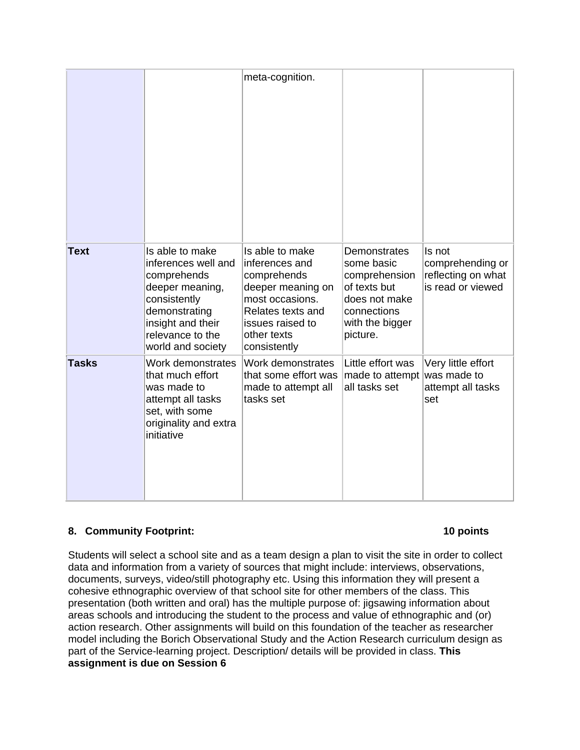|              |                                                                                                                                                                         | meta-cognition.                                                                                                                                                  |                                                                                                                            |                                                                       |
|--------------|-------------------------------------------------------------------------------------------------------------------------------------------------------------------------|------------------------------------------------------------------------------------------------------------------------------------------------------------------|----------------------------------------------------------------------------------------------------------------------------|-----------------------------------------------------------------------|
| <b>Text</b>  | Is able to make<br>inferences well and<br>comprehends<br>deeper meaning,<br>consistently<br>demonstrating<br>insight and their<br>relevance to the<br>world and society | Is able to make<br>inferences and<br>comprehends<br>deeper meaning on<br>most occasions.<br>Relates texts and<br>issues raised to<br>other texts<br>consistently | Demonstrates<br>some basic<br>comprehension<br>of texts but<br>does not make<br>connections<br>with the bigger<br>picture. | Is not<br>comprehending or<br>reflecting on what<br>is read or viewed |
| <b>Tasks</b> | Work demonstrates<br>that much effort<br>was made to<br>attempt all tasks<br>set, with some<br>originality and extra<br>initiative                                      | Work demonstrates<br>that some effort was<br>made to attempt all<br>tasks set                                                                                    | Little effort was<br>made to attempt<br>all tasks set                                                                      | Very little effort<br>was made to<br>attempt all tasks<br>set         |

# **8. Community Footprint:** 10 points **10 points**

Students will select a school site and as a team design a plan to visit the site in order to collect data and information from a variety of sources that might include: interviews, observations, documents, surveys, video/still photography etc. Using this information they will present a cohesive ethnographic overview of that school site for other members of the class. This presentation (both written and oral) has the multiple purpose of: jigsawing information about areas schools and introducing the student to the process and value of ethnographic and (or) action research. Other assignments will build on this foundation of the teacher as researcher model including the Borich Observational Study and the Action Research curriculum design as part of the Service-learning project. Description/ details will be provided in class. **This assignment is due on Session 6**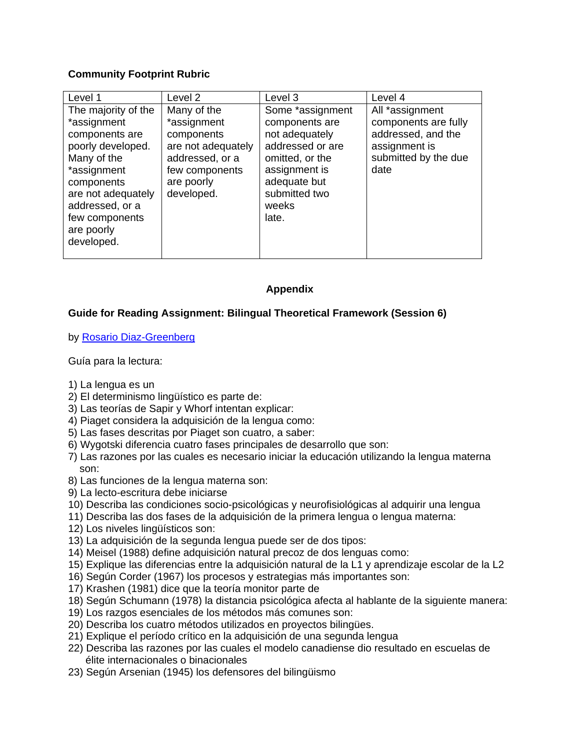# **Community Footprint Rubric**

| Level 1                                                                                                                                                                                                      | Level 2                                                                                                                         | Level 3                                                                                                                                                         | Level 4                                                                                                        |
|--------------------------------------------------------------------------------------------------------------------------------------------------------------------------------------------------------------|---------------------------------------------------------------------------------------------------------------------------------|-----------------------------------------------------------------------------------------------------------------------------------------------------------------|----------------------------------------------------------------------------------------------------------------|
| The majority of the<br>*assignment<br>components are<br>poorly developed.<br>Many of the<br>*assignment<br>components<br>are not adequately<br>addressed, or a<br>few components<br>are poorly<br>developed. | Many of the<br>*assignment<br>components<br>are not adequately<br>addressed, or a<br>few components<br>are poorly<br>developed. | Some *assignment<br>components are<br>not adequately<br>addressed or are<br>omitted, or the<br>assignment is<br>adequate but<br>submitted two<br>weeks<br>late. | All *assignment<br>components are fully<br>addressed, and the<br>assignment is<br>submitted by the due<br>date |

# **Appendix**

# **Guide for Reading Assignment: Bilingual Theoretical Framework (Session 6)**

# by <u>Rosario Diaz-Greenberg</u><br>Guía para la lectura:

- 1) La lengua es un
- 2) El determinismo lingüístico es parte de:
- 3) Las teorías de Sapir y Whorf intentan explicar:
- 4) Piaget considera la adquisición de la lengua como:
- 5) Las fases descritas por Piaget son cuatro, a saber:
- 6) Wygotski diferencia cuatro fases principales de desarrollo que son:
- 7) Las razones por las cuales es necesario iniciar la educación utilizando la lengua materna son:
- 8) Las funciones de la lengua materna son:
- 9) La lecto-escritura debe iniciarse
- 10) Describa las condiciones socio-psicológicas y neurofisiológicas al adquirir una lengua
- 11) Describa las dos fases de la adquisición de la primera lengua o lengua materna:
- 12) Los niveles lingüísticos son:
- 13) La adquisición de la segunda lengua puede ser de dos tipos:
- 14) Meisel (1988) define adquisición natural precoz de dos lenguas como:
- 15) Explique las diferencias entre la adquisición natural de la L1 y aprendizaje escolar de la L2
- 16) Según Corder (1967) los procesos y estrategias más importantes son:
- 17) Krashen (1981) dice que la teoría monitor parte de
- 18) Según Schumann (1978) la distancia psicológica afecta al hablante de la siguiente manera:
- 19) Los razgos esenciales de los métodos más comunes son:
- 20) Describa los cuatro métodos utilizados en proyectos bilingües.
- 21) Explique el período crítico en la adquisición de una segunda lengua
- 22) Describa las razones por las cuales el modelo canadiense dio resultado en escuelas de élite internacionales o binacionales
- 23) Según Arsenian (1945) los defensores del bilingüismo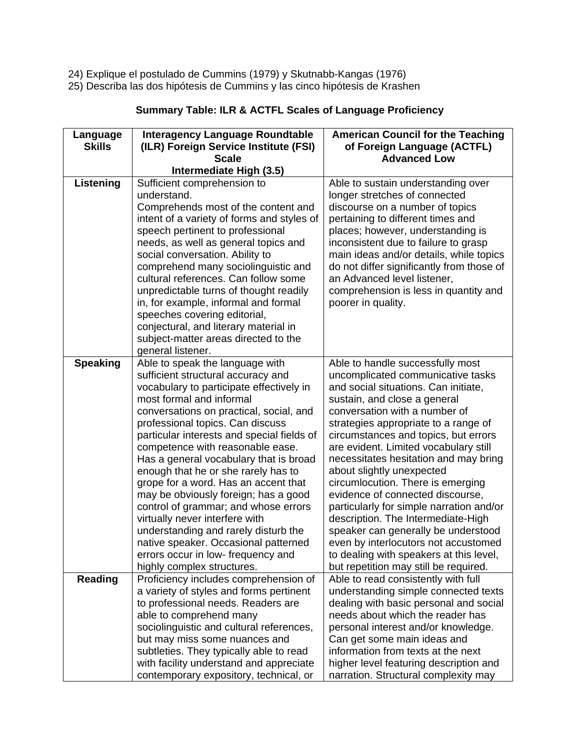- 24) Explique el postulado de Cummins (1979) y Skutnabb-Kangas (1976)
- 25) Describa las dos hipótesis de Cummins y las cinco hipótesis de Krashen

| Language<br><b>Skills</b> | <b>Interagency Language Roundtable</b><br>(ILR) Foreign Service Institute (FSI)<br><b>Scale</b>                                                                                                                                                                                                                                                                                                                                                                                                                                                                                                                                                                                                              | <b>American Council for the Teaching</b><br>of Foreign Language (ACTFL)<br><b>Advanced Low</b>                                                                                                                                                                                                                                                                                                                                                                                                                                                                                                                                                                                                              |
|---------------------------|--------------------------------------------------------------------------------------------------------------------------------------------------------------------------------------------------------------------------------------------------------------------------------------------------------------------------------------------------------------------------------------------------------------------------------------------------------------------------------------------------------------------------------------------------------------------------------------------------------------------------------------------------------------------------------------------------------------|-------------------------------------------------------------------------------------------------------------------------------------------------------------------------------------------------------------------------------------------------------------------------------------------------------------------------------------------------------------------------------------------------------------------------------------------------------------------------------------------------------------------------------------------------------------------------------------------------------------------------------------------------------------------------------------------------------------|
|                           | Intermediate High (3.5)                                                                                                                                                                                                                                                                                                                                                                                                                                                                                                                                                                                                                                                                                      |                                                                                                                                                                                                                                                                                                                                                                                                                                                                                                                                                                                                                                                                                                             |
| Listening                 | Sufficient comprehension to<br>understand.<br>Comprehends most of the content and<br>intent of a variety of forms and styles of<br>speech pertinent to professional<br>needs, as well as general topics and<br>social conversation. Ability to<br>comprehend many sociolinguistic and<br>cultural references. Can follow some<br>unpredictable turns of thought readily<br>in, for example, informal and formal<br>speeches covering editorial,<br>conjectural, and literary material in<br>subject-matter areas directed to the<br>general listener.                                                                                                                                                        | Able to sustain understanding over<br>longer stretches of connected<br>discourse on a number of topics<br>pertaining to different times and<br>places; however, understanding is<br>inconsistent due to failure to grasp<br>main ideas and/or details, while topics<br>do not differ significantly from those of<br>an Advanced level listener,<br>comprehension is less in quantity and<br>poorer in quality.                                                                                                                                                                                                                                                                                              |
| <b>Speaking</b>           | Able to speak the language with<br>sufficient structural accuracy and<br>vocabulary to participate effectively in<br>most formal and informal<br>conversations on practical, social, and<br>professional topics. Can discuss<br>particular interests and special fields of<br>competence with reasonable ease.<br>Has a general vocabulary that is broad<br>enough that he or she rarely has to<br>grope for a word. Has an accent that<br>may be obviously foreign; has a good<br>control of grammar; and whose errors<br>virtually never interfere with<br>understanding and rarely disturb the<br>native speaker. Occasional patterned<br>errors occur in low-frequency and<br>highly complex structures. | Able to handle successfully most<br>uncomplicated communicative tasks<br>and social situations. Can initiate,<br>sustain, and close a general<br>conversation with a number of<br>strategies appropriate to a range of<br>circumstances and topics, but errors<br>are evident. Limited vocabulary still<br>necessitates hesitation and may bring<br>about slightly unexpected<br>circumlocution. There is emerging<br>evidence of connected discourse,<br>particularly for simple narration and/or<br>description. The Intermediate-High<br>speaker can generally be understood<br>even by interlocutors not accustomed<br>to dealing with speakers at this level,<br>but repetition may still be required. |
| <b>Reading</b>            | Proficiency includes comprehension of<br>a variety of styles and forms pertinent<br>to professional needs. Readers are<br>able to comprehend many<br>sociolinguistic and cultural references,<br>but may miss some nuances and<br>subtleties. They typically able to read<br>with facility understand and appreciate<br>contemporary expository, technical, or                                                                                                                                                                                                                                                                                                                                               | Able to read consistently with full<br>understanding simple connected texts<br>dealing with basic personal and social<br>needs about which the reader has<br>personal interest and/or knowledge.<br>Can get some main ideas and<br>information from texts at the next<br>higher level featuring description and<br>narration. Structural complexity may                                                                                                                                                                                                                                                                                                                                                     |

# **Summary Table: ILR & ACTFL Scales of Language Proficiency**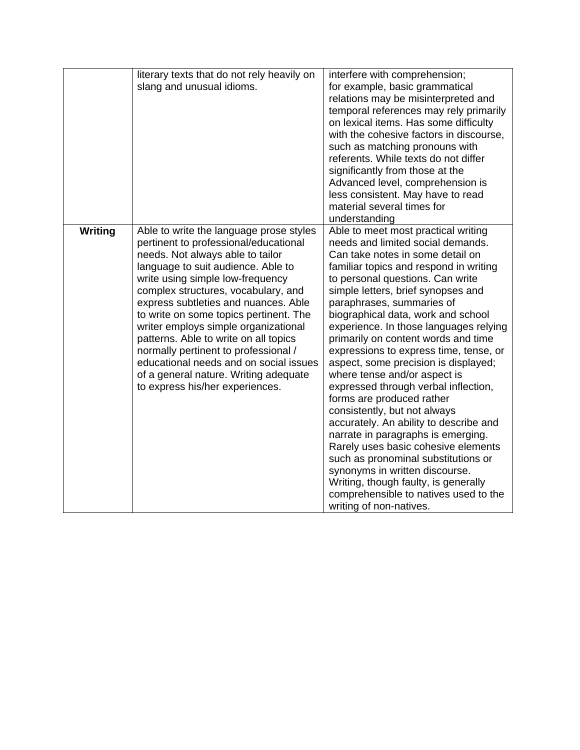|         | literary texts that do not rely heavily on | interfere with comprehension;           |
|---------|--------------------------------------------|-----------------------------------------|
|         | slang and unusual idioms.                  | for example, basic grammatical          |
|         |                                            | relations may be misinterpreted and     |
|         |                                            | temporal references may rely primarily  |
|         |                                            | on lexical items. Has some difficulty   |
|         |                                            | with the cohesive factors in discourse, |
|         |                                            | such as matching pronouns with          |
|         |                                            | referents. While texts do not differ    |
|         |                                            | significantly from those at the         |
|         |                                            | Advanced level, comprehension is        |
|         |                                            | less consistent. May have to read       |
|         |                                            | material several times for              |
|         |                                            | understanding                           |
| Writing | Able to write the language prose styles    | Able to meet most practical writing     |
|         | pertinent to professional/educational      | needs and limited social demands.       |
|         | needs. Not always able to tailor           | Can take notes in some detail on        |
|         | language to suit audience. Able to         | familiar topics and respond in writing  |
|         | write using simple low-frequency           | to personal questions. Can write        |
|         | complex structures, vocabulary, and        | simple letters, brief synopses and      |
|         | express subtleties and nuances. Able       | paraphrases, summaries of               |
|         | to write on some topics pertinent. The     | biographical data, work and school      |
|         | writer employs simple organizational       | experience. In those languages relying  |
|         | patterns. Able to write on all topics      | primarily on content words and time     |
|         | normally pertinent to professional /       | expressions to express time, tense, or  |
|         | educational needs and on social issues     | aspect, some precision is displayed;    |
|         | of a general nature. Writing adequate      | where tense and/or aspect is            |
|         | to express his/her experiences.            | expressed through verbal inflection,    |
|         |                                            | forms are produced rather               |
|         |                                            | consistently, but not always            |
|         |                                            | accurately. An ability to describe and  |
|         |                                            |                                         |
|         |                                            | narrate in paragraphs is emerging.      |
|         |                                            | Rarely uses basic cohesive elements     |
|         |                                            | such as pronominal substitutions or     |
|         |                                            | synonyms in written discourse.          |
|         |                                            | Writing, though faulty, is generally    |
|         |                                            | comprehensible to natives used to the   |
|         |                                            | writing of non-natives.                 |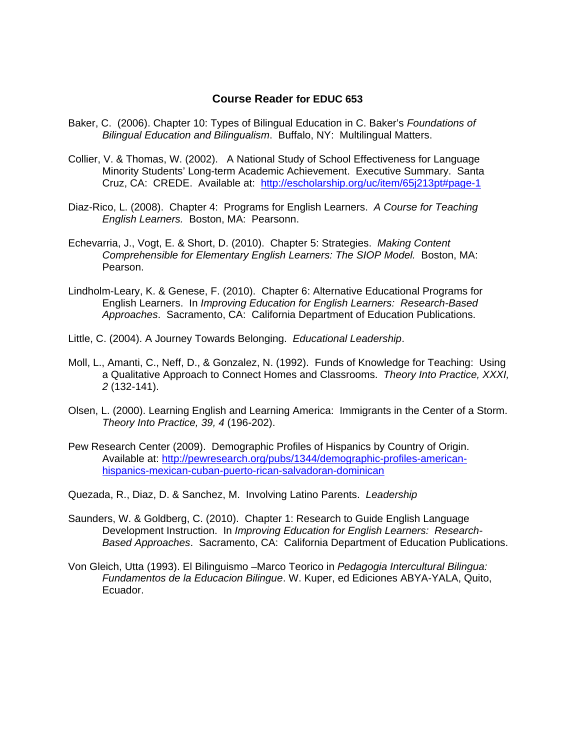### **Course Reader for EDUC 653**

- Baker, C. (2006). Chapter 10: Types of Bilingual Education in C. Baker's *Foundations of Bilingual Education and Bilingualism*. Buffalo, NY: Multilingual Matters.
- Collier, V. & Thomas, W. (2002). A National Study of School Effectiveness for Language Minority Students' Long-term Academic Achievement. Executive Summary. Santa Cruz, CA: CREDE. Available at: http://escholarship.org/uc/item/65j213pt#page-1
- Diaz-Rico, L. (2008). Chapter 4: Programs for English Learners. *A Course for Teaching English Learners.* Boston, MA: Pearsonn.
- Echevarria, J., Vogt, E. & Short, D. (2010). Chapter 5: Strategies. *Making Content Comprehensible for Elementary English Learners: The SIOP Model.* Boston, MA: Pearson.
- Lindholm-Leary, K. & Genese, F. (2010). Chapter 6: Alternative Educational Programs for English Learners. In *Improving Education for English Learners: Research-Based Approaches*. Sacramento, CA: California Department of Education Publications.
- Little, C. (2004). A Journey Towards Belonging. *Educational Leadership*.
- Moll, L., Amanti, C., Neff, D., & Gonzalez, N. (1992). Funds of Knowledge for Teaching: Using a Qualitative Approach to Connect Homes and Classrooms. *Theory Into Practice, XXXI, 2* (132-141).
- Olsen, L. (2000). Learning English and Learning America: Immigrants in the Center of a Storm. *Theory Into Practice, 39, 4* (196-202).
- Pew Research Center (2009). Demographic Profiles of Hispanics by Country of Origin. Available at: http://pewresearch.org/pubs/1344/demographic-profiles-americanhispanics-mexican-cuban-puerto-rican-salvadoran-dominican
- Quezada, R., Diaz, D. & Sanchez, M. Involving Latino Parents. *Leadership*
- Saunders, W. & Goldberg, C. (2010). Chapter 1: Research to Guide English Language Development Instruction. In *Improving Education for English Learners: Research-Based Approaches*. Sacramento, CA: California Department of Education Publications.
- Von Gleich, Utta (1993). El Bilinguismo –Marco Teorico in *Pedagogia Intercultural Bilingua: Fundamentos de la Educacion Bilingue*. W. Kuper, ed Ediciones ABYA-YALA, Quito, Ecuador.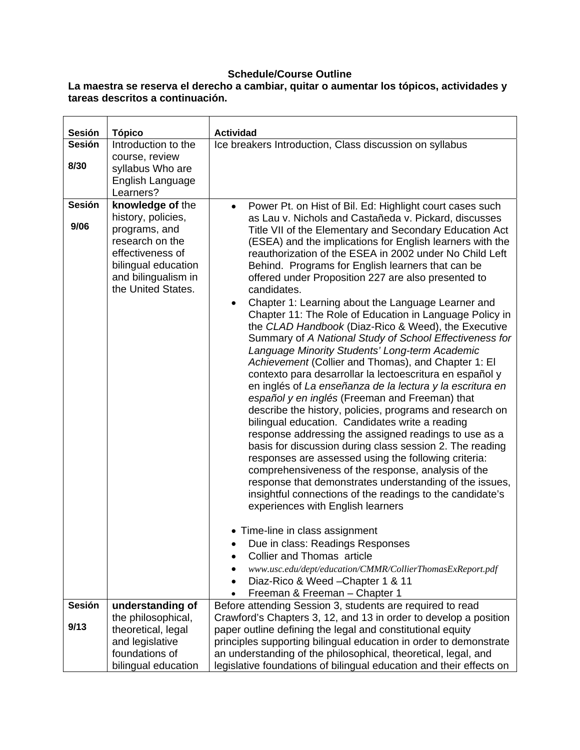# **Schedule/Course Outline**

### **La maestra se reserva el derecho a cambiar, quitar o aumentar los tópicos, actividades y tareas descritos a continuación.**

| Sesión        | <b>Tópico</b>                                                                                                                                  | <b>Actividad</b>                                                                                                                                                                                                                                                                                                                                                                                                                                                                                                                                                                                                                                                                                                                                                                                                                                                                                                                                                                                                                                                                                                                                                                                                                                                                                                                                                                                                                                                                                                                                                                                                                          |
|---------------|------------------------------------------------------------------------------------------------------------------------------------------------|-------------------------------------------------------------------------------------------------------------------------------------------------------------------------------------------------------------------------------------------------------------------------------------------------------------------------------------------------------------------------------------------------------------------------------------------------------------------------------------------------------------------------------------------------------------------------------------------------------------------------------------------------------------------------------------------------------------------------------------------------------------------------------------------------------------------------------------------------------------------------------------------------------------------------------------------------------------------------------------------------------------------------------------------------------------------------------------------------------------------------------------------------------------------------------------------------------------------------------------------------------------------------------------------------------------------------------------------------------------------------------------------------------------------------------------------------------------------------------------------------------------------------------------------------------------------------------------------------------------------------------------------|
| <b>Sesión</b> | Introduction to the                                                                                                                            | Ice breakers Introduction, Class discussion on syllabus                                                                                                                                                                                                                                                                                                                                                                                                                                                                                                                                                                                                                                                                                                                                                                                                                                                                                                                                                                                                                                                                                                                                                                                                                                                                                                                                                                                                                                                                                                                                                                                   |
| 8/30          | course, review<br>syllabus Who are                                                                                                             |                                                                                                                                                                                                                                                                                                                                                                                                                                                                                                                                                                                                                                                                                                                                                                                                                                                                                                                                                                                                                                                                                                                                                                                                                                                                                                                                                                                                                                                                                                                                                                                                                                           |
|               | English Language<br>Learners?                                                                                                                  |                                                                                                                                                                                                                                                                                                                                                                                                                                                                                                                                                                                                                                                                                                                                                                                                                                                                                                                                                                                                                                                                                                                                                                                                                                                                                                                                                                                                                                                                                                                                                                                                                                           |
| Sesión        | knowledge of the                                                                                                                               | Power Pt. on Hist of Bil. Ed: Highlight court cases such<br>$\bullet$                                                                                                                                                                                                                                                                                                                                                                                                                                                                                                                                                                                                                                                                                                                                                                                                                                                                                                                                                                                                                                                                                                                                                                                                                                                                                                                                                                                                                                                                                                                                                                     |
| 9/06          | history, policies,<br>programs, and<br>research on the<br>effectiveness of<br>bilingual education<br>and bilingualism in<br>the United States. | as Lau v. Nichols and Castañeda v. Pickard, discusses<br>Title VII of the Elementary and Secondary Education Act<br>(ESEA) and the implications for English learners with the<br>reauthorization of the ESEA in 2002 under No Child Left<br>Behind. Programs for English learners that can be<br>offered under Proposition 227 are also presented to<br>candidates.<br>Chapter 1: Learning about the Language Learner and<br>٠<br>Chapter 11: The Role of Education in Language Policy in<br>the CLAD Handbook (Diaz-Rico & Weed), the Executive<br>Summary of A National Study of School Effectiveness for<br>Language Minority Students' Long-term Academic<br>Achievement (Collier and Thomas), and Chapter 1: El<br>contexto para desarrollar la lectoescritura en español y<br>en inglés of La enseñanza de la lectura y la escritura en<br>español y en inglés (Freeman and Freeman) that<br>describe the history, policies, programs and research on<br>bilingual education. Candidates write a reading<br>response addressing the assigned readings to use as a<br>basis for discussion during class session 2. The reading<br>responses are assessed using the following criteria:<br>comprehensiveness of the response, analysis of the<br>response that demonstrates understanding of the issues,<br>insightful connections of the readings to the candidate's<br>experiences with English learners<br>• Time-line in class assignment<br>Due in class: Readings Responses<br><b>Collier and Thomas article</b><br>www.usc.edu/dept/education/CMMR/CollierThomasExReport.pdf<br>Diaz-Rico & Weed - Chapter 1 & 11<br>$\bullet$ |
| <b>Sesión</b> | understanding of                                                                                                                               | Freeman & Freeman - Chapter 1<br>$\bullet$<br>Before attending Session 3, students are required to read                                                                                                                                                                                                                                                                                                                                                                                                                                                                                                                                                                                                                                                                                                                                                                                                                                                                                                                                                                                                                                                                                                                                                                                                                                                                                                                                                                                                                                                                                                                                   |
| 9/13          | the philosophical,                                                                                                                             | Crawford's Chapters 3, 12, and 13 in order to develop a position                                                                                                                                                                                                                                                                                                                                                                                                                                                                                                                                                                                                                                                                                                                                                                                                                                                                                                                                                                                                                                                                                                                                                                                                                                                                                                                                                                                                                                                                                                                                                                          |
|               | theoretical, legal<br>and legislative                                                                                                          | paper outline defining the legal and constitutional equity<br>principles supporting bilingual education in order to demonstrate                                                                                                                                                                                                                                                                                                                                                                                                                                                                                                                                                                                                                                                                                                                                                                                                                                                                                                                                                                                                                                                                                                                                                                                                                                                                                                                                                                                                                                                                                                           |
|               | foundations of                                                                                                                                 | an understanding of the philosophical, theoretical, legal, and                                                                                                                                                                                                                                                                                                                                                                                                                                                                                                                                                                                                                                                                                                                                                                                                                                                                                                                                                                                                                                                                                                                                                                                                                                                                                                                                                                                                                                                                                                                                                                            |
|               | bilingual education                                                                                                                            | legislative foundations of bilingual education and their effects on                                                                                                                                                                                                                                                                                                                                                                                                                                                                                                                                                                                                                                                                                                                                                                                                                                                                                                                                                                                                                                                                                                                                                                                                                                                                                                                                                                                                                                                                                                                                                                       |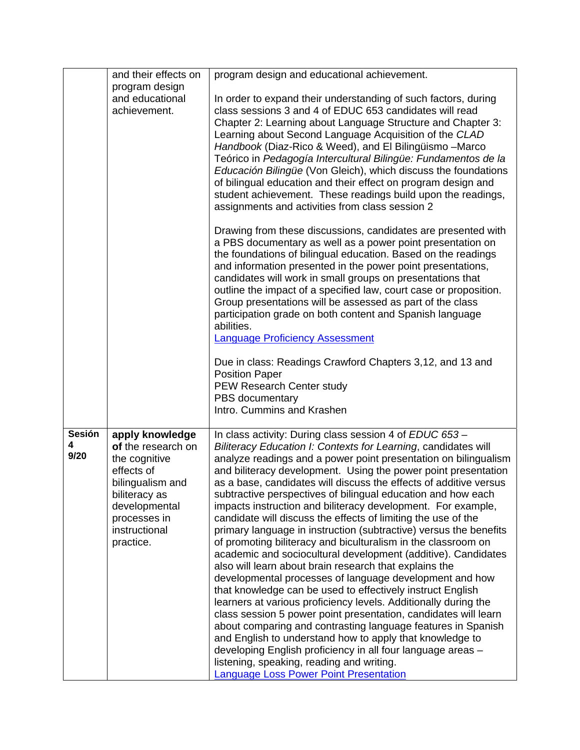|                            | and their effects on                                                                                                                                                     |                                                                                                                                                                                                                                                                                                                                                                                                                                                                                                                                                                                                                                                                                                                                                                                                                                                                                                                                                                                                                                                                                                                                                                                                                                                                                                                                                               |
|----------------------------|--------------------------------------------------------------------------------------------------------------------------------------------------------------------------|---------------------------------------------------------------------------------------------------------------------------------------------------------------------------------------------------------------------------------------------------------------------------------------------------------------------------------------------------------------------------------------------------------------------------------------------------------------------------------------------------------------------------------------------------------------------------------------------------------------------------------------------------------------------------------------------------------------------------------------------------------------------------------------------------------------------------------------------------------------------------------------------------------------------------------------------------------------------------------------------------------------------------------------------------------------------------------------------------------------------------------------------------------------------------------------------------------------------------------------------------------------------------------------------------------------------------------------------------------------|
|                            | program design                                                                                                                                                           | program design and educational achievement.                                                                                                                                                                                                                                                                                                                                                                                                                                                                                                                                                                                                                                                                                                                                                                                                                                                                                                                                                                                                                                                                                                                                                                                                                                                                                                                   |
|                            | and educational                                                                                                                                                          | In order to expand their understanding of such factors, during                                                                                                                                                                                                                                                                                                                                                                                                                                                                                                                                                                                                                                                                                                                                                                                                                                                                                                                                                                                                                                                                                                                                                                                                                                                                                                |
|                            | achievement.                                                                                                                                                             | class sessions 3 and 4 of EDUC 653 candidates will read                                                                                                                                                                                                                                                                                                                                                                                                                                                                                                                                                                                                                                                                                                                                                                                                                                                                                                                                                                                                                                                                                                                                                                                                                                                                                                       |
|                            |                                                                                                                                                                          | Chapter 2: Learning about Language Structure and Chapter 3:<br>Learning about Second Language Acquisition of the CLAD<br>Handbook (Diaz-Rico & Weed), and El Bilingüismo - Marco<br>Teórico in Pedagogía Intercultural Bilingüe: Fundamentos de la<br>Educación Bilingüe (Von Gleich), which discuss the foundations<br>of bilingual education and their effect on program design and<br>student achievement. These readings build upon the readings,<br>assignments and activities from class session 2                                                                                                                                                                                                                                                                                                                                                                                                                                                                                                                                                                                                                                                                                                                                                                                                                                                      |
|                            |                                                                                                                                                                          | Drawing from these discussions, candidates are presented with<br>a PBS documentary as well as a power point presentation on<br>the foundations of bilingual education. Based on the readings<br>and information presented in the power point presentations,<br>candidates will work in small groups on presentations that<br>outline the impact of a specified law, court case or proposition.<br>Group presentations will be assessed as part of the class<br>participation grade on both content and Spanish language<br>abilities.<br><b>Language Proficiency Assessment</b>                                                                                                                                                                                                                                                                                                                                                                                                                                                                                                                                                                                                                                                                                                                                                                               |
|                            |                                                                                                                                                                          | Due in class: Readings Crawford Chapters 3,12, and 13 and<br><b>Position Paper</b>                                                                                                                                                                                                                                                                                                                                                                                                                                                                                                                                                                                                                                                                                                                                                                                                                                                                                                                                                                                                                                                                                                                                                                                                                                                                            |
|                            |                                                                                                                                                                          | PEW Research Center study                                                                                                                                                                                                                                                                                                                                                                                                                                                                                                                                                                                                                                                                                                                                                                                                                                                                                                                                                                                                                                                                                                                                                                                                                                                                                                                                     |
|                            |                                                                                                                                                                          | PBS documentary                                                                                                                                                                                                                                                                                                                                                                                                                                                                                                                                                                                                                                                                                                                                                                                                                                                                                                                                                                                                                                                                                                                                                                                                                                                                                                                                               |
|                            |                                                                                                                                                                          | Intro. Cummins and Krashen                                                                                                                                                                                                                                                                                                                                                                                                                                                                                                                                                                                                                                                                                                                                                                                                                                                                                                                                                                                                                                                                                                                                                                                                                                                                                                                                    |
| <b>Sesión</b><br>4<br>9/20 | apply knowledge<br>of the research on<br>the cognitive<br>effects of<br>bilingualism and<br>biliteracy as<br>developmental<br>processes in<br>instructional<br>practice. | In class activity: During class session 4 of EDUC 653 -<br>Biliteracy Education I: Contexts for Learning, candidates will<br>analyze readings and a power point presentation on bilingualism<br>and biliteracy development. Using the power point presentation<br>as a base, candidates will discuss the effects of additive versus<br>subtractive perspectives of bilingual education and how each<br>impacts instruction and biliteracy development. For example,<br>candidate will discuss the effects of limiting the use of the<br>primary language in instruction (subtractive) versus the benefits<br>of promoting biliteracy and biculturalism in the classroom on<br>academic and sociocultural development (additive). Candidates<br>also will learn about brain research that explains the<br>developmental processes of language development and how<br>that knowledge can be used to effectively instruct English<br>learners at various proficiency levels. Additionally during the<br>class session 5 power point presentation, candidates will learn<br>about comparing and contrasting language features in Spanish<br>and English to understand how to apply that knowledge to<br>developing English proficiency in all four language areas -<br>listening, speaking, reading and writing.<br><b>Language Loss Power Point Presentation</b> |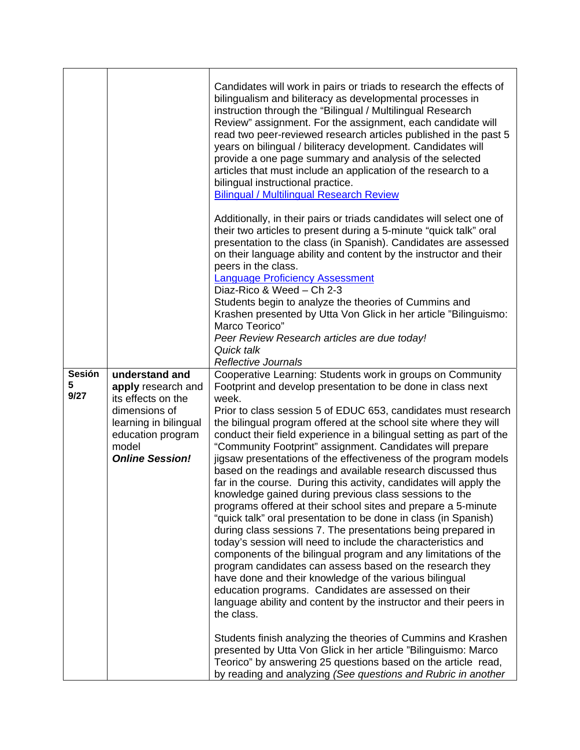|                     |                                                                                                                                                              | Candidates will work in pairs or triads to research the effects of<br>bilingualism and biliteracy as developmental processes in<br>instruction through the "Bilingual / Multilingual Research<br>Review" assignment. For the assignment, each candidate will<br>read two peer-reviewed research articles published in the past 5<br>years on bilingual / biliteracy development. Candidates will<br>provide a one page summary and analysis of the selected<br>articles that must include an application of the research to a<br>bilingual instructional practice.<br><b>Bilingual / Multilingual Research Review</b>                                                                                                                                                                                                                                                                                                                                                                                                                                                                                                                                                                                                                                                                  |
|---------------------|--------------------------------------------------------------------------------------------------------------------------------------------------------------|----------------------------------------------------------------------------------------------------------------------------------------------------------------------------------------------------------------------------------------------------------------------------------------------------------------------------------------------------------------------------------------------------------------------------------------------------------------------------------------------------------------------------------------------------------------------------------------------------------------------------------------------------------------------------------------------------------------------------------------------------------------------------------------------------------------------------------------------------------------------------------------------------------------------------------------------------------------------------------------------------------------------------------------------------------------------------------------------------------------------------------------------------------------------------------------------------------------------------------------------------------------------------------------|
|                     |                                                                                                                                                              | Additionally, in their pairs or triads candidates will select one of<br>their two articles to present during a 5-minute "quick talk" oral<br>presentation to the class (in Spanish). Candidates are assessed<br>on their language ability and content by the instructor and their<br>peers in the class.<br><b>Language Proficiency Assessment</b><br>Diaz-Rico & Weed - Ch 2-3<br>Students begin to analyze the theories of Cummins and<br>Krashen presented by Utta Von Glick in her article "Bilinguismo:<br>Marco Teorico"<br>Peer Review Research articles are due today!<br>Quick talk<br><b>Reflective Journals</b>                                                                                                                                                                                                                                                                                                                                                                                                                                                                                                                                                                                                                                                             |
| Sesión<br>5<br>9/27 | understand and<br>apply research and<br>its effects on the<br>dimensions of<br>learning in bilingual<br>education program<br>model<br><b>Online Session!</b> | Cooperative Learning: Students work in groups on Community<br>Footprint and develop presentation to be done in class next<br>week.<br>Prior to class session 5 of EDUC 653, candidates must research<br>the bilingual program offered at the school site where they will<br>conduct their field experience in a bilingual setting as part of the<br>"Community Footprint" assignment. Candidates will prepare<br>jigsaw presentations of the effectiveness of the program models<br>based on the readings and available research discussed thus<br>far in the course. During this activity, candidates will apply the<br>knowledge gained during previous class sessions to the<br>programs offered at their school sites and prepare a 5-minute<br>"quick talk" oral presentation to be done in class (in Spanish)<br>during class sessions 7. The presentations being prepared in<br>today's session will need to include the characteristics and<br>components of the bilingual program and any limitations of the<br>program candidates can assess based on the research they<br>have done and their knowledge of the various bilingual<br>education programs. Candidates are assessed on their<br>language ability and content by the instructor and their peers in<br>the class. |
|                     |                                                                                                                                                              | Students finish analyzing the theories of Cummins and Krashen<br>presented by Utta Von Glick in her article "Bilinguismo: Marco<br>Teorico" by answering 25 questions based on the article read,<br>by reading and analyzing (See questions and Rubric in another                                                                                                                                                                                                                                                                                                                                                                                                                                                                                                                                                                                                                                                                                                                                                                                                                                                                                                                                                                                                                      |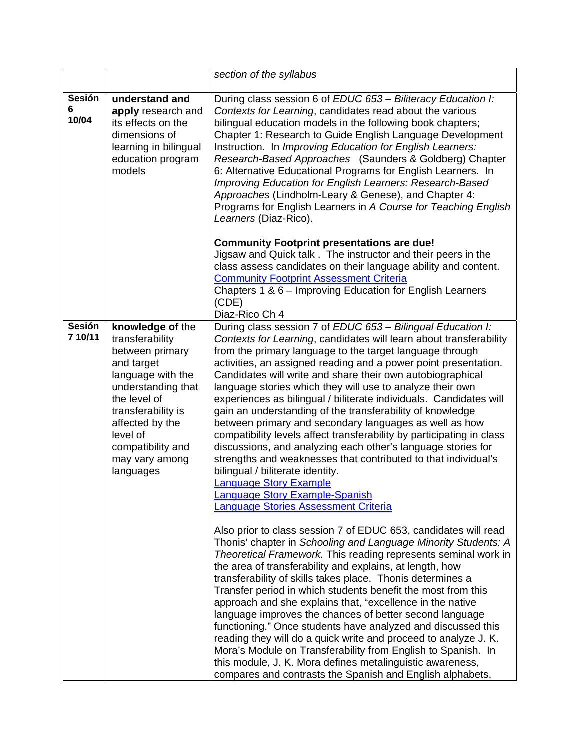|                             |                                                                                                                                                                                                                                          | section of the syllabus                                                                                                                                                                                                                                                                                                                                                                                                                                                                                                                                                                                                                                                                                                                                                                                                                                                                                                                                                                                                                                                                                                                                                                                                                                                                                                                                                                                                                                                                                                                                                                                                                                                                                                                                                                                                |
|-----------------------------|------------------------------------------------------------------------------------------------------------------------------------------------------------------------------------------------------------------------------------------|------------------------------------------------------------------------------------------------------------------------------------------------------------------------------------------------------------------------------------------------------------------------------------------------------------------------------------------------------------------------------------------------------------------------------------------------------------------------------------------------------------------------------------------------------------------------------------------------------------------------------------------------------------------------------------------------------------------------------------------------------------------------------------------------------------------------------------------------------------------------------------------------------------------------------------------------------------------------------------------------------------------------------------------------------------------------------------------------------------------------------------------------------------------------------------------------------------------------------------------------------------------------------------------------------------------------------------------------------------------------------------------------------------------------------------------------------------------------------------------------------------------------------------------------------------------------------------------------------------------------------------------------------------------------------------------------------------------------------------------------------------------------------------------------------------------------|
| <b>Sesión</b><br>6<br>10/04 | understand and<br>apply research and<br>its effects on the<br>dimensions of<br>learning in bilingual<br>education program<br>models                                                                                                      | During class session 6 of EDUC 653 - Biliteracy Education I:<br>Contexts for Learning, candidates read about the various<br>bilingual education models in the following book chapters;<br>Chapter 1: Research to Guide English Language Development<br>Instruction. In Improving Education for English Learners:<br>Research-Based Approaches (Saunders & Goldberg) Chapter<br>6: Alternative Educational Programs for English Learners. In<br>Improving Education for English Learners: Research-Based<br>Approaches (Lindholm-Leary & Genese), and Chapter 4:<br>Programs for English Learners in A Course for Teaching English<br>Learners (Diaz-Rico).                                                                                                                                                                                                                                                                                                                                                                                                                                                                                                                                                                                                                                                                                                                                                                                                                                                                                                                                                                                                                                                                                                                                                             |
|                             |                                                                                                                                                                                                                                          | <b>Community Footprint presentations are due!</b><br>Jigsaw and Quick talk. The instructor and their peers in the<br>class assess candidates on their language ability and content.<br><b>Community Footprint Assessment Criteria</b><br>Chapters 1 & 6 – Improving Education for English Learners<br>(CDE)<br>Diaz-Rico Ch 4                                                                                                                                                                                                                                                                                                                                                                                                                                                                                                                                                                                                                                                                                                                                                                                                                                                                                                                                                                                                                                                                                                                                                                                                                                                                                                                                                                                                                                                                                          |
| <b>Sesión</b><br>7 10/11    | knowledge of the<br>transferability<br>between primary<br>and target<br>language with the<br>understanding that<br>the level of<br>transferability is<br>affected by the<br>level of<br>compatibility and<br>may vary among<br>languages | During class session 7 of EDUC 653 - Bilingual Education I:<br>Contexts for Learning, candidates will learn about transferability<br>from the primary language to the target language through<br>activities, an assigned reading and a power point presentation.<br>Candidates will write and share their own autobiographical<br>language stories which they will use to analyze their own<br>experiences as bilingual / biliterate individuals. Candidates will<br>gain an understanding of the transferability of knowledge<br>between primary and secondary languages as well as how<br>compatibility levels affect transferability by participating in class<br>discussions, and analyzing each other's language stories for<br>strengths and weaknesses that contributed to that individual's<br>bilingual / biliterate identity.<br><b>Language Story Example</b><br><b>Language Story Example-Spanish</b><br><b>Language Stories Assessment Criteria</b><br>Also prior to class session 7 of EDUC 653, candidates will read<br>Thonis' chapter in Schooling and Language Minority Students: A<br>Theoretical Framework. This reading represents seminal work in<br>the area of transferability and explains, at length, how<br>transferability of skills takes place. Thonis determines a<br>Transfer period in which students benefit the most from this<br>approach and she explains that, "excellence in the native<br>language improves the chances of better second language<br>functioning." Once students have analyzed and discussed this<br>reading they will do a quick write and proceed to analyze J. K.<br>Mora's Module on Transferability from English to Spanish. In<br>this module, J. K. Mora defines metalinguistic awareness,<br>compares and contrasts the Spanish and English alphabets, |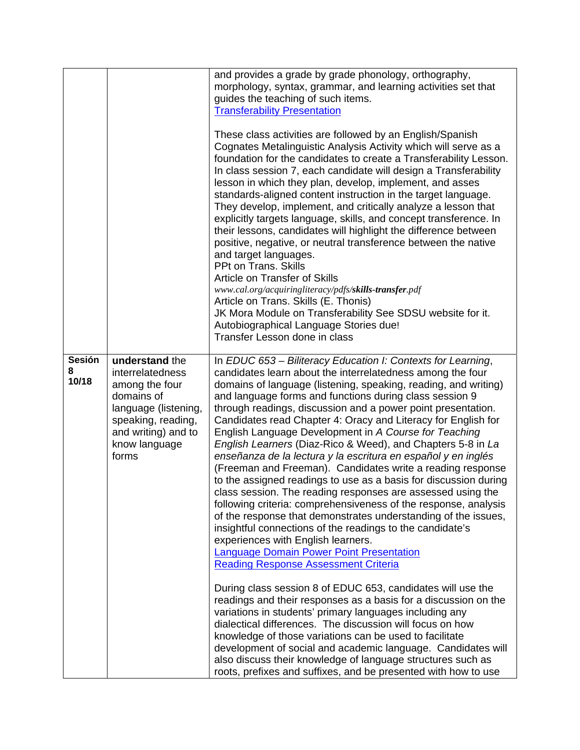|                      |                                                                                                                                                                   | and provides a grade by grade phonology, orthography,<br>morphology, syntax, grammar, and learning activities set that<br>guides the teaching of such items.<br><b>Transferability Presentation</b><br>These class activities are followed by an English/Spanish<br>Cognates Metalinguistic Analysis Activity which will serve as a<br>foundation for the candidates to create a Transferability Lesson.<br>In class session 7, each candidate will design a Transferability<br>lesson in which they plan, develop, implement, and asses<br>standards-aligned content instruction in the target language.<br>They develop, implement, and critically analyze a lesson that<br>explicitly targets language, skills, and concept transference. In<br>their lessons, candidates will highlight the difference between<br>positive, negative, or neutral transference between the native<br>and target languages.<br>PPt on Trans, Skills<br>Article on Transfer of Skills<br>www.cal.org/acquiringliteracy/pdfs/skills-transfer.pdf<br>Article on Trans. Skills (E. Thonis)<br>JK Mora Module on Transferability See SDSU website for it.<br>Autobiographical Language Stories due!<br>Transfer Lesson done in class                                                                                                                                                                                                                                                                                                                                                                                                                                   |
|----------------------|-------------------------------------------------------------------------------------------------------------------------------------------------------------------|-----------------------------------------------------------------------------------------------------------------------------------------------------------------------------------------------------------------------------------------------------------------------------------------------------------------------------------------------------------------------------------------------------------------------------------------------------------------------------------------------------------------------------------------------------------------------------------------------------------------------------------------------------------------------------------------------------------------------------------------------------------------------------------------------------------------------------------------------------------------------------------------------------------------------------------------------------------------------------------------------------------------------------------------------------------------------------------------------------------------------------------------------------------------------------------------------------------------------------------------------------------------------------------------------------------------------------------------------------------------------------------------------------------------------------------------------------------------------------------------------------------------------------------------------------------------------------------------------------------------------------------------------------|
| Sesión<br>8<br>10/18 | understand the<br>interrelatedness<br>among the four<br>domains of<br>language (listening,<br>speaking, reading,<br>and writing) and to<br>know language<br>forms | In EDUC 653 - Biliteracy Education I: Contexts for Learning,<br>candidates learn about the interrelatedness among the four<br>domains of language (listening, speaking, reading, and writing)<br>and language forms and functions during class session 9<br>through readings, discussion and a power point presentation.<br>Candidates read Chapter 4: Oracy and Literacy for English for<br>English Language Development in A Course for Teaching<br>English Learners (Diaz-Rico & Weed), and Chapters 5-8 in La<br>enseñanza de la lectura y la escritura en español y en inglés<br>(Freeman and Freeman). Candidates write a reading response<br>to the assigned readings to use as a basis for discussion during<br>class session. The reading responses are assessed using the<br>following criteria: comprehensiveness of the response, analysis<br>of the response that demonstrates understanding of the issues,<br>insightful connections of the readings to the candidate's<br>experiences with English learners.<br><b>Language Domain Power Point Presentation</b><br><b>Reading Response Assessment Criteria</b><br>During class session 8 of EDUC 653, candidates will use the<br>readings and their responses as a basis for a discussion on the<br>variations in students' primary languages including any<br>dialectical differences. The discussion will focus on how<br>knowledge of those variations can be used to facilitate<br>development of social and academic language. Candidates will<br>also discuss their knowledge of language structures such as<br>roots, prefixes and suffixes, and be presented with how to use |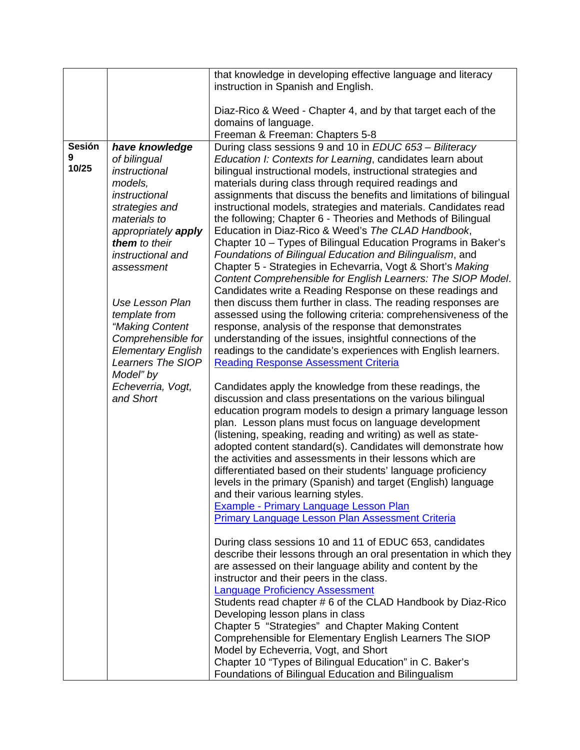|                    |                                                 | that knowledge in developing effective language and literacy                                                                 |
|--------------------|-------------------------------------------------|------------------------------------------------------------------------------------------------------------------------------|
|                    |                                                 | instruction in Spanish and English.                                                                                          |
|                    |                                                 | Diaz-Rico & Weed - Chapter 4, and by that target each of the                                                                 |
|                    |                                                 | domains of language.                                                                                                         |
|                    |                                                 | Freeman & Freeman: Chapters 5-8                                                                                              |
| <b>Sesión</b><br>9 | have knowledge                                  | During class sessions 9 and 10 in EDUC 653 - Biliteracy                                                                      |
| 10/25              | of bilingual<br>instructional                   | Education I: Contexts for Learning, candidates learn about<br>bilingual instructional models, instructional strategies and   |
|                    | models,                                         | materials during class through required readings and                                                                         |
|                    | instructional                                   | assignments that discuss the benefits and limitations of bilingual                                                           |
|                    | strategies and                                  | instructional models, strategies and materials. Candidates read                                                              |
|                    | materials to<br>appropriately apply             | the following; Chapter 6 - Theories and Methods of Bilingual<br>Education in Diaz-Rico & Weed's The CLAD Handbook,           |
|                    | them to their                                   | Chapter 10 – Types of Bilingual Education Programs in Baker's                                                                |
|                    | instructional and                               | Foundations of Bilingual Education and Bilingualism, and                                                                     |
|                    | assessment                                      | Chapter 5 - Strategies in Echevarria, Vogt & Short's Making                                                                  |
|                    |                                                 | Content Comprehensible for English Learners: The SIOP Model.<br>Candidates write a Reading Response on these readings and    |
|                    | <b>Use Lesson Plan</b>                          | then discuss them further in class. The reading responses are                                                                |
|                    | template from                                   | assessed using the following criteria: comprehensiveness of the                                                              |
|                    | "Making Content                                 | response, analysis of the response that demonstrates                                                                         |
|                    | Comprehensible for<br><b>Elementary English</b> | understanding of the issues, insightful connections of the<br>readings to the candidate's experiences with English learners. |
|                    | Learners The SIOP                               | <b>Reading Response Assessment Criteria</b>                                                                                  |
|                    | Model" by                                       |                                                                                                                              |
|                    | Echeverria, Vogt,                               | Candidates apply the knowledge from these readings, the                                                                      |
|                    | and Short                                       | discussion and class presentations on the various bilingual<br>education program models to design a primary language lesson  |
|                    |                                                 | plan. Lesson plans must focus on language development                                                                        |
|                    |                                                 | (listening, speaking, reading and writing) as well as state-                                                                 |
|                    |                                                 | adopted content standard(s). Candidates will demonstrate how                                                                 |
|                    |                                                 | the activities and assessments in their lessons which are<br>differentiated based on their students' language proficiency    |
|                    |                                                 | levels in the primary (Spanish) and target (English) language                                                                |
|                    |                                                 | and their various learning styles.                                                                                           |
|                    |                                                 | <b>Example - Primary Language Lesson Plan</b><br>Primary Language Lesson Plan Assessment Criteria                            |
|                    |                                                 |                                                                                                                              |
|                    |                                                 | During class sessions 10 and 11 of EDUC 653, candidates                                                                      |
|                    |                                                 | describe their lessons through an oral presentation in which they                                                            |
|                    |                                                 | are assessed on their language ability and content by the<br>instructor and their peers in the class.                        |
|                    |                                                 | <b>Language Proficiency Assessment</b>                                                                                       |
|                    |                                                 | Students read chapter #6 of the CLAD Handbook by Diaz-Rico                                                                   |
|                    |                                                 | Developing lesson plans in class                                                                                             |
|                    |                                                 | Chapter 5 "Strategies" and Chapter Making Content                                                                            |
|                    |                                                 | Comprehensible for Elementary English Learners The SIOP<br>Model by Echeverria, Vogt, and Short                              |
|                    |                                                 | Chapter 10 "Types of Bilingual Education" in C. Baker's                                                                      |
|                    |                                                 | Foundations of Bilingual Education and Bilingualism                                                                          |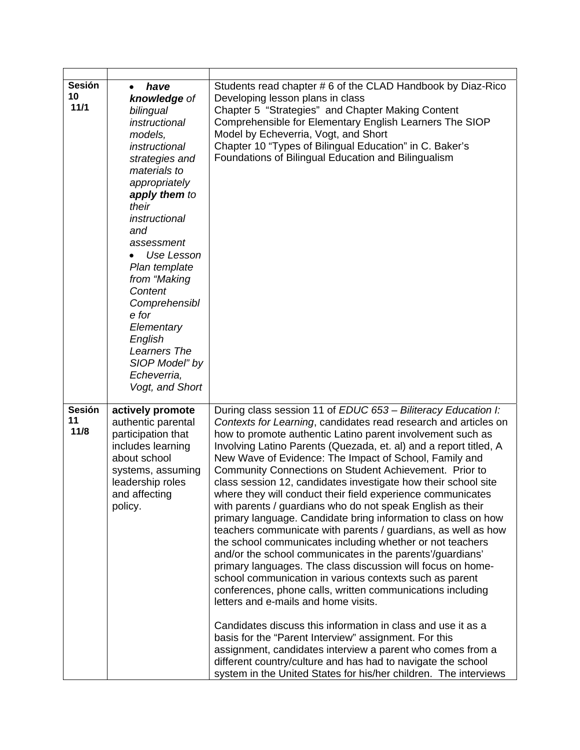| <b>Sesión</b><br>10<br>11/1 | have<br>knowledge of<br>bilingual<br>instructional<br>models,<br>instructional<br>strategies and<br>materials to<br>appropriately<br>apply them to<br>their<br>instructional<br>and<br>assessment<br>Use Lesson<br>Plan template<br>from "Making<br>Content<br>Comprehensibl<br>e for<br>Elementary<br>English<br>Learners The<br>SIOP Model" by<br>Echeverria,<br>Vogt, and Short | Students read chapter #6 of the CLAD Handbook by Diaz-Rico<br>Developing lesson plans in class<br>Chapter 5 "Strategies" and Chapter Making Content<br>Comprehensible for Elementary English Learners The SIOP<br>Model by Echeverria, Vogt, and Short<br>Chapter 10 "Types of Bilingual Education" in C. Baker's<br>Foundations of Bilingual Education and Bilingualism                                                                                                                                                                                                                                                                                                                                                                                                                                                                                                                                                                                                                                                                                                                                                                                                                                                                                                                                                                                                                                      |
|-----------------------------|------------------------------------------------------------------------------------------------------------------------------------------------------------------------------------------------------------------------------------------------------------------------------------------------------------------------------------------------------------------------------------|---------------------------------------------------------------------------------------------------------------------------------------------------------------------------------------------------------------------------------------------------------------------------------------------------------------------------------------------------------------------------------------------------------------------------------------------------------------------------------------------------------------------------------------------------------------------------------------------------------------------------------------------------------------------------------------------------------------------------------------------------------------------------------------------------------------------------------------------------------------------------------------------------------------------------------------------------------------------------------------------------------------------------------------------------------------------------------------------------------------------------------------------------------------------------------------------------------------------------------------------------------------------------------------------------------------------------------------------------------------------------------------------------------------|
| <b>Sesión</b><br>11<br>11/8 | actively promote<br>authentic parental<br>participation that<br>includes learning<br>about school<br>systems, assuming<br>leadership roles<br>and affecting<br>policy.                                                                                                                                                                                                             | During class session 11 of EDUC 653 - Biliteracy Education I:<br>Contexts for Learning, candidates read research and articles on<br>how to promote authentic Latino parent involvement such as<br>Involving Latino Parents (Quezada, et. al) and a report titled, A<br>New Wave of Evidence: The Impact of School, Family and<br>Community Connections on Student Achievement. Prior to<br>class session 12, candidates investigate how their school site<br>where they will conduct their field experience communicates<br>with parents / guardians who do not speak English as their<br>primary language. Candidate bring information to class on how<br>teachers communicate with parents / guardians, as well as how<br>the school communicates including whether or not teachers<br>and/or the school communicates in the parents'/guardians'<br>primary languages. The class discussion will focus on home-<br>school communication in various contexts such as parent<br>conferences, phone calls, written communications including<br>letters and e-mails and home visits.<br>Candidates discuss this information in class and use it as a<br>basis for the "Parent Interview" assignment. For this<br>assignment, candidates interview a parent who comes from a<br>different country/culture and has had to navigate the school<br>system in the United States for his/her children. The interviews |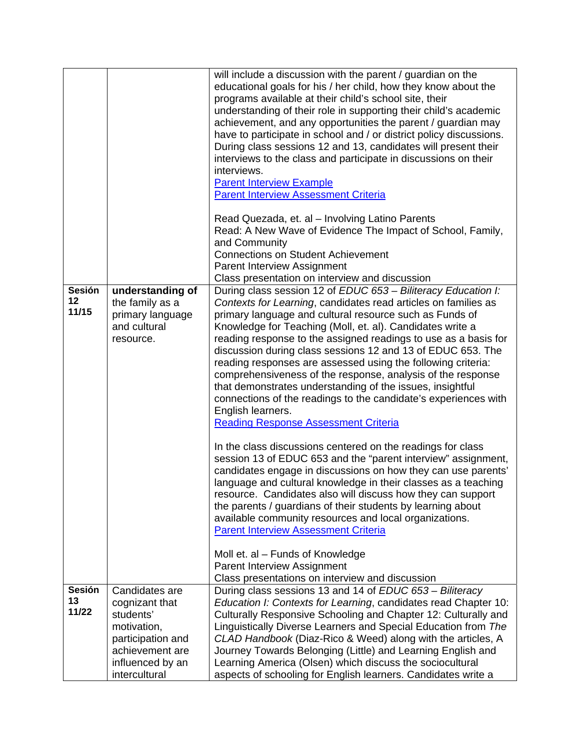|                     |                                                                  | will include a discussion with the parent / guardian on the<br>educational goals for his / her child, how they know about the<br>programs available at their child's school site, their<br>understanding of their role in supporting their child's academic<br>achievement, and any opportunities the parent / guardian may<br>have to participate in school and / or district policy discussions.<br>During class sessions 12 and 13, candidates will present their<br>interviews to the class and participate in discussions on their<br>interviews.<br><b>Parent Interview Example</b><br><b>Parent Interview Assessment Criteria</b><br>Read Quezada, et. al - Involving Latino Parents<br>Read: A New Wave of Evidence The Impact of School, Family,<br>and Community<br><b>Connections on Student Achievement</b><br>Parent Interview Assignment                                                                                                                                                                                                                                                                                                                                                                                                                                      |
|---------------------|------------------------------------------------------------------|---------------------------------------------------------------------------------------------------------------------------------------------------------------------------------------------------------------------------------------------------------------------------------------------------------------------------------------------------------------------------------------------------------------------------------------------------------------------------------------------------------------------------------------------------------------------------------------------------------------------------------------------------------------------------------------------------------------------------------------------------------------------------------------------------------------------------------------------------------------------------------------------------------------------------------------------------------------------------------------------------------------------------------------------------------------------------------------------------------------------------------------------------------------------------------------------------------------------------------------------------------------------------------------------|
| Sesión              | understanding of                                                 | Class presentation on interview and discussion<br>During class session 12 of EDUC 653 - Biliteracy Education I:                                                                                                                                                                                                                                                                                                                                                                                                                                                                                                                                                                                                                                                                                                                                                                                                                                                                                                                                                                                                                                                                                                                                                                             |
| 12<br>11/15         | the family as a<br>primary language<br>and cultural<br>resource. | Contexts for Learning, candidates read articles on families as<br>primary language and cultural resource such as Funds of<br>Knowledge for Teaching (Moll, et. al). Candidates write a<br>reading response to the assigned readings to use as a basis for<br>discussion during class sessions 12 and 13 of EDUC 653. The<br>reading responses are assessed using the following criteria:<br>comprehensiveness of the response, analysis of the response<br>that demonstrates understanding of the issues, insightful<br>connections of the readings to the candidate's experiences with<br>English learners.<br><b>Reading Response Assessment Criteria</b><br>In the class discussions centered on the readings for class<br>session 13 of EDUC 653 and the "parent interview" assignment,<br>candidates engage in discussions on how they can use parents'<br>language and cultural knowledge in their classes as a teaching<br>resource. Candidates also will discuss how they can support<br>the parents / guardians of their students by learning about<br>available community resources and local organizations.<br><b>Parent Interview Assessment Criteria</b><br>Moll et. al - Funds of Knowledge<br>Parent Interview Assignment<br>Class presentations on interview and discussion |
| <b>Sesión</b><br>13 | Candidates are                                                   | During class sessions 13 and 14 of EDUC 653 - Biliteracy                                                                                                                                                                                                                                                                                                                                                                                                                                                                                                                                                                                                                                                                                                                                                                                                                                                                                                                                                                                                                                                                                                                                                                                                                                    |
| 11/22               | cognizant that<br>students'                                      | Education I: Contexts for Learning, candidates read Chapter 10:<br>Culturally Responsive Schooling and Chapter 12: Culturally and                                                                                                                                                                                                                                                                                                                                                                                                                                                                                                                                                                                                                                                                                                                                                                                                                                                                                                                                                                                                                                                                                                                                                           |
|                     | motivation,<br>participation and                                 | Linguistically Diverse Learners and Special Education from The<br>CLAD Handbook (Diaz-Rico & Weed) along with the articles, A                                                                                                                                                                                                                                                                                                                                                                                                                                                                                                                                                                                                                                                                                                                                                                                                                                                                                                                                                                                                                                                                                                                                                               |
|                     | achievement are                                                  | Journey Towards Belonging (Little) and Learning English and                                                                                                                                                                                                                                                                                                                                                                                                                                                                                                                                                                                                                                                                                                                                                                                                                                                                                                                                                                                                                                                                                                                                                                                                                                 |
|                     | influenced by an<br>intercultural                                | Learning America (Olsen) which discuss the sociocultural<br>aspects of schooling for English learners. Candidates write a                                                                                                                                                                                                                                                                                                                                                                                                                                                                                                                                                                                                                                                                                                                                                                                                                                                                                                                                                                                                                                                                                                                                                                   |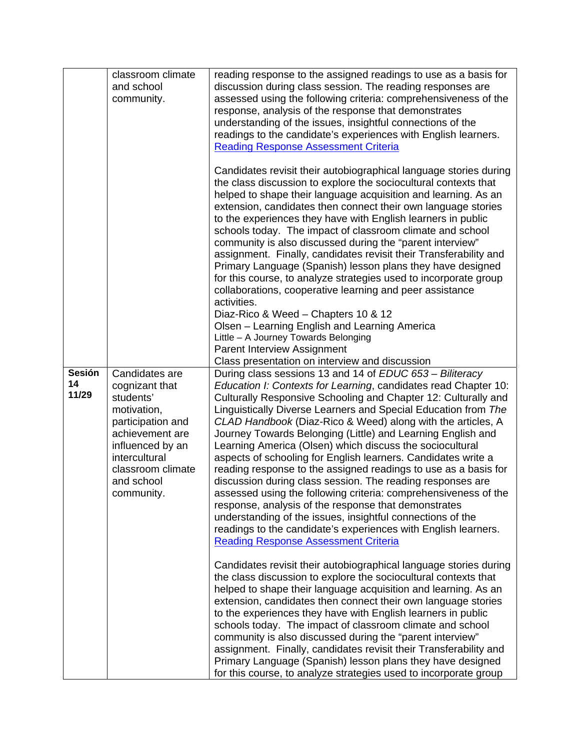|                              | classroom climate<br>and school<br>community.                                                                                                                                              | reading response to the assigned readings to use as a basis for<br>discussion during class session. The reading responses are<br>assessed using the following criteria: comprehensiveness of the<br>response, analysis of the response that demonstrates<br>understanding of the issues, insightful connections of the<br>readings to the candidate's experiences with English learners.<br><b>Reading Response Assessment Criteria</b><br>Candidates revisit their autobiographical language stories during<br>the class discussion to explore the sociocultural contexts that<br>helped to shape their language acquisition and learning. As an<br>extension, candidates then connect their own language stories                                                                                                                                                                                                                                                    |
|------------------------------|--------------------------------------------------------------------------------------------------------------------------------------------------------------------------------------------|-----------------------------------------------------------------------------------------------------------------------------------------------------------------------------------------------------------------------------------------------------------------------------------------------------------------------------------------------------------------------------------------------------------------------------------------------------------------------------------------------------------------------------------------------------------------------------------------------------------------------------------------------------------------------------------------------------------------------------------------------------------------------------------------------------------------------------------------------------------------------------------------------------------------------------------------------------------------------|
|                              |                                                                                                                                                                                            | to the experiences they have with English learners in public<br>schools today. The impact of classroom climate and school<br>community is also discussed during the "parent interview"<br>assignment. Finally, candidates revisit their Transferability and<br>Primary Language (Spanish) lesson plans they have designed<br>for this course, to analyze strategies used to incorporate group<br>collaborations, cooperative learning and peer assistance<br>activities.<br>Diaz-Rico & Weed - Chapters 10 & 12<br>Olsen - Learning English and Learning America<br>Little - A Journey Towards Belonging                                                                                                                                                                                                                                                                                                                                                              |
|                              |                                                                                                                                                                                            | Parent Interview Assignment<br>Class presentation on interview and discussion                                                                                                                                                                                                                                                                                                                                                                                                                                                                                                                                                                                                                                                                                                                                                                                                                                                                                         |
| <b>Sesión</b><br>14<br>11/29 | Candidates are<br>cognizant that<br>students'<br>motivation,<br>participation and<br>achievement are<br>influenced by an<br>intercultural<br>classroom climate<br>and school<br>community. | During class sessions 13 and 14 of EDUC 653 - Biliteracy<br>Education I: Contexts for Learning, candidates read Chapter 10:<br>Culturally Responsive Schooling and Chapter 12: Culturally and<br>Linguistically Diverse Learners and Special Education from The<br>CLAD Handbook (Diaz-Rico & Weed) along with the articles, A<br>Journey Towards Belonging (Little) and Learning English and<br>Learning America (Olsen) which discuss the sociocultural<br>aspects of schooling for English learners. Candidates write a<br>reading response to the assigned readings to use as a basis for<br>discussion during class session. The reading responses are<br>assessed using the following criteria: comprehensiveness of the<br>response, analysis of the response that demonstrates<br>understanding of the issues, insightful connections of the<br>readings to the candidate's experiences with English learners.<br><b>Reading Response Assessment Criteria</b> |
|                              |                                                                                                                                                                                            | Candidates revisit their autobiographical language stories during<br>the class discussion to explore the sociocultural contexts that<br>helped to shape their language acquisition and learning. As an<br>extension, candidates then connect their own language stories<br>to the experiences they have with English learners in public<br>schools today. The impact of classroom climate and school<br>community is also discussed during the "parent interview"<br>assignment. Finally, candidates revisit their Transferability and<br>Primary Language (Spanish) lesson plans they have designed<br>for this course, to analyze strategies used to incorporate group                                                                                                                                                                                                                                                                                              |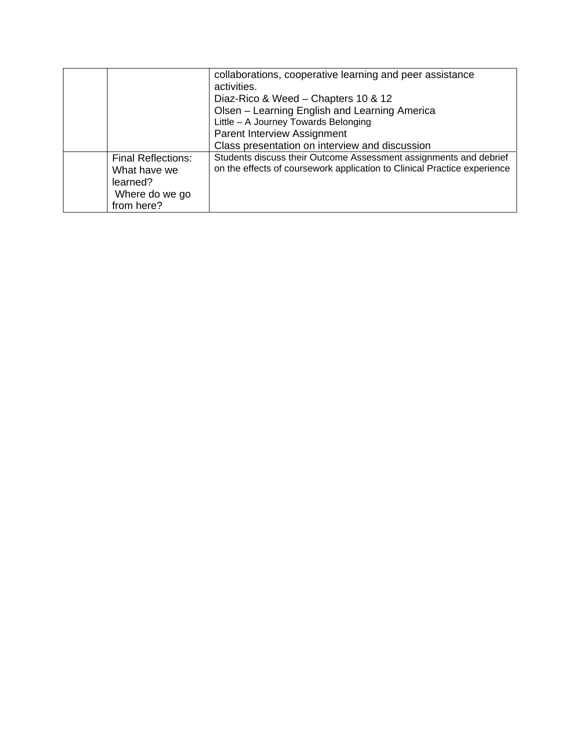|                           | collaborations, cooperative learning and peer assistance                 |
|---------------------------|--------------------------------------------------------------------------|
|                           | activities.                                                              |
|                           | Diaz-Rico & Weed – Chapters 10 & 12                                      |
|                           | Olsen - Learning English and Learning America                            |
|                           | Little - A Journey Towards Belonging                                     |
|                           | Parent Interview Assignment                                              |
|                           | Class presentation on interview and discussion                           |
| <b>Final Reflections:</b> | Students discuss their Outcome Assessment assignments and debrief        |
| What have we              | on the effects of coursework application to Clinical Practice experience |
| learned?                  |                                                                          |
| Where do we go            |                                                                          |
| from here?                |                                                                          |